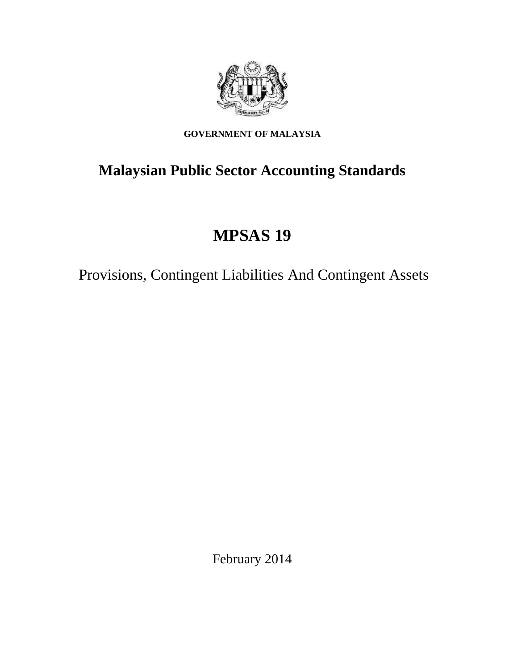

## **GOVERNMENT OF MALAYSIA**

# **Malaysian Public Sector Accounting Standards**

# **MPSAS 19**

Provisions, Contingent Liabilities And Contingent Assets

February 2014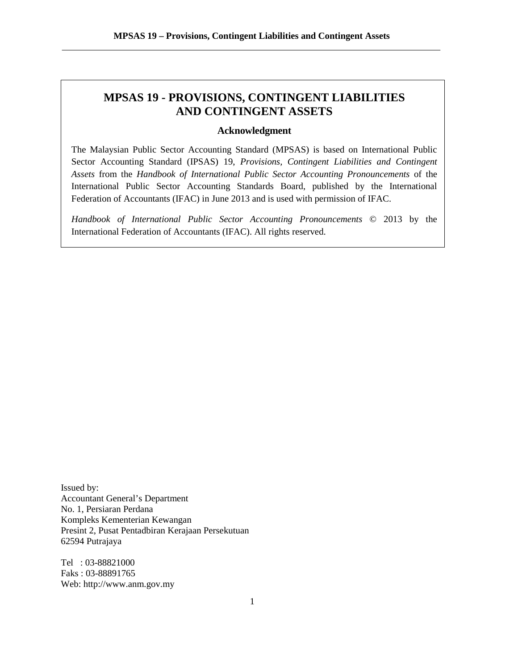## **MPSAS 19 - PROVISIONS, CONTINGENT LIABILITIES AND CONTINGENT ASSETS**

## **Acknowledgment**

The Malaysian Public Sector Accounting Standard (MPSAS) is based on International Public Sector Accounting Standard (IPSAS) 19, *Provisions, Contingent Liabilities and Contingent Assets* from the *Handbook of International Public Sector Accounting Pronouncements* of the International Public Sector Accounting Standards Board, published by the International Federation of Accountants (IFAC) in June 2013 and is used with permission of IFAC.

*Handbook of International Public Sector Accounting Pronouncements* © 2013 by the International Federation of Accountants (IFAC). All rights reserved.

Issued by: Accountant General's Department No. 1, Persiaran Perdana Kompleks Kementerian Kewangan Presint 2, Pusat Pentadbiran Kerajaan Persekutuan 62594 Putrajaya

Tel : 03-88821000 Faks : 03-88891765 Web: http://www.anm.gov.my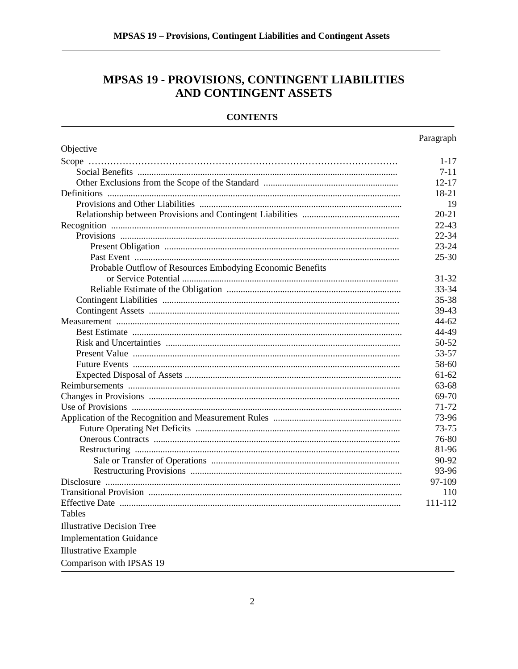## MPSAS 19 - PROVISIONS, CONTINGENT LIABILITIES AND CONTINGENT ASSETS

## **CONTENTS**

|                                                           | Paragraph |
|-----------------------------------------------------------|-----------|
| Objective                                                 |           |
|                                                           | $1 - 17$  |
|                                                           | 7-11      |
|                                                           | $12 - 17$ |
|                                                           | 18-21     |
|                                                           | 19        |
|                                                           | $20 - 21$ |
|                                                           | 22-43     |
|                                                           | 22-34     |
|                                                           | 23-24     |
|                                                           | $25 - 30$ |
| Probable Outflow of Resources Embodying Economic Benefits |           |
|                                                           | 31-32     |
|                                                           | 33-34     |
|                                                           | 35-38     |
|                                                           | 39-43     |
|                                                           | 44-62     |
|                                                           | 44-49     |
|                                                           | 50-52     |
|                                                           | 53-57     |
|                                                           | 58-60     |
|                                                           | 61-62     |
|                                                           | 63-68     |
|                                                           | 69-70     |
|                                                           | 71-72     |
|                                                           | 73-96     |
|                                                           | 73-75     |
|                                                           | 76-80     |
|                                                           | 81-96     |
|                                                           | 90-92     |
|                                                           | 93-96     |
|                                                           | 97-109    |
|                                                           | 110       |
|                                                           | 111-112   |
| Tables                                                    |           |
| <b>Illustrative Decision Tree</b>                         |           |
| <b>Implementation Guidance</b>                            |           |
| <b>Illustrative Example</b>                               |           |
| Comparison with IPSAS 19                                  |           |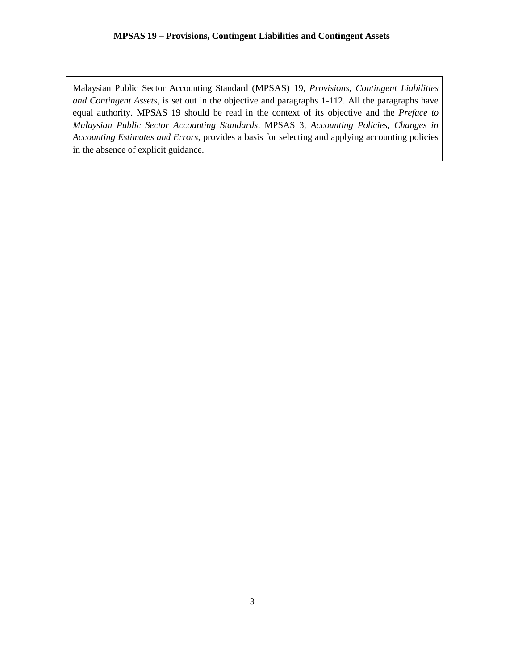Malaysian Public Sector Accounting Standard (MPSAS) 19, *Provisions, Contingent Liabilities and Contingent Assets*, is set out in the objective and paragraphs 1-112. All the paragraphs have equal authority. MPSAS 19 should be read in the context of its objective and the *Preface to Malaysian Public Sector Accounting Standards*. MPSAS 3, *Accounting Policies, Changes in Accounting Estimates and Errors,* provides a basis for selecting and applying accounting policies in the absence of explicit guidance.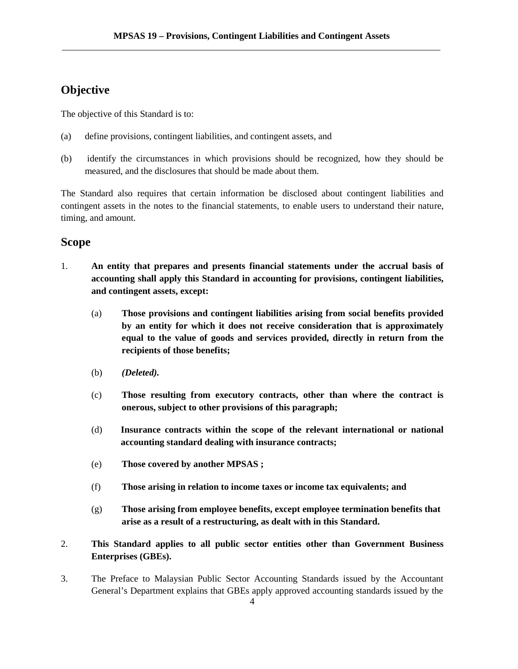## **Objective**

The objective of this Standard is to:

- (a) define provisions, contingent liabilities, and contingent assets, and
- (b) identify the circumstances in which provisions should be recognized, how they should be measured, and the disclosures that should be made about them.

The Standard also requires that certain information be disclosed about contingent liabilities and contingent assets in the notes to the financial statements, to enable users to understand their nature, timing, and amount.

## **Scope**

- 1. **An entity that prepares and presents financial statements under the accrual basis of accounting shall apply this Standard in accounting for provisions, contingent liabilities, and contingent assets, except:**
	- (a) **Those provisions and contingent liabilities arising from social benefits provided by an entity for which it does not receive consideration that is approximately equal to the value of goods and services provided, directly in return from the recipients of those benefits;**
	- (b) *(Deleted).*
	- (c) **Those resulting from executory contracts, other than where the contract is onerous, subject to other provisions of this paragraph;**
	- (d) **Insurance contracts within the scope of the relevant international or national accounting standard dealing with insurance contracts;**
	- (e) **Those covered by another MPSAS ;**
	- (f) **Those arising in relation to income taxes or income tax equivalents; and**
	- (g) **Those arising from employee benefits, except employee termination benefits that arise as a result of a restructuring, as dealt with in this Standard.**
- 2. **This Standard applies to all public sector entities other than Government Business Enterprises (GBEs).**
- 3. The Preface to Malaysian Public Sector Accounting Standards issued by the Accountant General's Department explains that GBEs apply approved accounting standards issued by the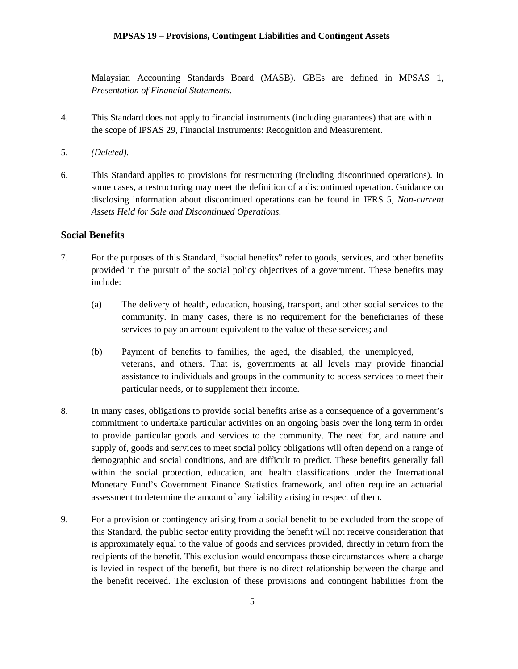Malaysian Accounting Standards Board (MASB). GBEs are defined in MPSAS 1, *Presentation of Financial Statements.*

- 4. This Standard does not apply to financial instruments (including guarantees) that are within the scope of IPSAS 29, Financial Instruments: Recognition and Measurement.
- 5. *(Deleted)*.
- 6. This Standard applies to provisions for restructuring (including discontinued operations). In some cases, a restructuring may meet the definition of a discontinued operation. Guidance on disclosing information about discontinued operations can be found in IFRS 5, *Non-current Assets Held for Sale and Discontinued Operations.*

## **Social Benefits**

- 7. For the purposes of this Standard, "social benefits" refer to goods, services, and other benefits provided in the pursuit of the social policy objectives of a government. These benefits may include:
	- (a) The delivery of health, education, housing, transport, and other social services to the community. In many cases, there is no requirement for the beneficiaries of these services to pay an amount equivalent to the value of these services; and
	- (b) Payment of benefits to families, the aged, the disabled, the unemployed, veterans, and others. That is, governments at all levels may provide financial assistance to individuals and groups in the community to access services to meet their particular needs, or to supplement their income.
- 8. In many cases, obligations to provide social benefits arise as a consequence of a government's commitment to undertake particular activities on an ongoing basis over the long term in order to provide particular goods and services to the community. The need for, and nature and supply of, goods and services to meet social policy obligations will often depend on a range of demographic and social conditions, and are difficult to predict. These benefits generally fall within the social protection, education, and health classifications under the International Monetary Fund's Government Finance Statistics framework, and often require an actuarial assessment to determine the amount of any liability arising in respect of them.
- 9. For a provision or contingency arising from a social benefit to be excluded from the scope of this Standard, the public sector entity providing the benefit will not receive consideration that is approximately equal to the value of goods and services provided, directly in return from the recipients of the benefit. This exclusion would encompass those circumstances where a charge is levied in respect of the benefit, but there is no direct relationship between the charge and the benefit received. The exclusion of these provisions and contingent liabilities from the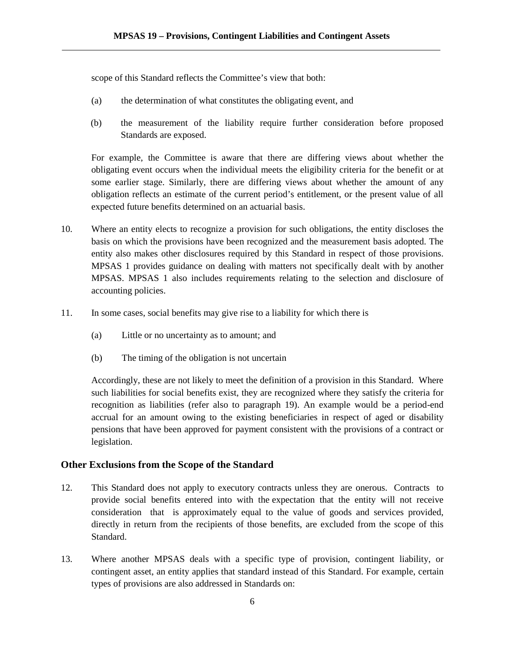scope of this Standard reflects the Committee's view that both:

- (a) the determination of what constitutes the obligating event, and
- (b) the measurement of the liability require further consideration before proposed Standards are exposed.

For example, the Committee is aware that there are differing views about whether the obligating event occurs when the individual meets the eligibility criteria for the benefit or at some earlier stage. Similarly, there are differing views about whether the amount of any obligation reflects an estimate of the current period's entitlement, or the present value of all expected future benefits determined on an actuarial basis.

- 10. Where an entity elects to recognize a provision for such obligations, the entity discloses the basis on which the provisions have been recognized and the measurement basis adopted. The entity also makes other disclosures required by this Standard in respect of those provisions. MPSAS 1 provides guidance on dealing with matters not specifically dealt with by another MPSAS. MPSAS 1 also includes requirements relating to the selection and disclosure of accounting policies.
- 11. In some cases, social benefits may give rise to a liability for which there is
	- (a) Little or no uncertainty as to amount; and
	- (b) The timing of the obligation is not uncertain

Accordingly, these are not likely to meet the definition of a provision in this Standard. Where such liabilities for social benefits exist, they are recognized where they satisfy the criteria for recognition as liabilities (refer also to paragraph 19). An example would be a period-end accrual for an amount owing to the existing beneficiaries in respect of aged or disability pensions that have been approved for payment consistent with the provisions of a contract or legislation.

## **Other Exclusions from the Scope of the Standard**

- 12. This Standard does not apply to executory contracts unless they are onerous. Contracts to provide social benefits entered into with the expectation that the entity will not receive consideration that is approximately equal to the value of goods and services provided, directly in return from the recipients of those benefits, are excluded from the scope of this Standard.
- 13. Where another MPSAS deals with a specific type of provision, contingent liability, or contingent asset, an entity applies that standard instead of this Standard. For example, certain types of provisions are also addressed in Standards on: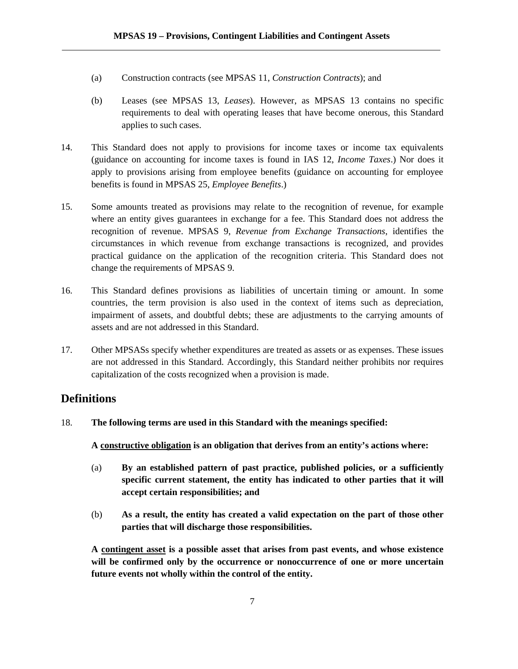- (a) Construction contracts (see MPSAS 11, *Construction Contracts*); and
- (b) Leases (see MPSAS 13, *Leases*). However, as MPSAS 13 contains no specific requirements to deal with operating leases that have become onerous, this Standard applies to such cases.
- 14. This Standard does not apply to provisions for income taxes or income tax equivalents (guidance on accounting for income taxes is found in IAS 12, *Income Taxes*.) Nor does it apply to provisions arising from employee benefits (guidance on accounting for employee benefits is found in MPSAS 25, *Employee Benefits*.)
- 15. Some amounts treated as provisions may relate to the recognition of revenue, for example where an entity gives guarantees in exchange for a fee. This Standard does not address the recognition of revenue. MPSAS 9, *Revenue from Exchange Transactions*, identifies the circumstances in which revenue from exchange transactions is recognized, and provides practical guidance on the application of the recognition criteria. This Standard does not change the requirements of MPSAS 9.
- 16. This Standard defines provisions as liabilities of uncertain timing or amount. In some countries, the term provision is also used in the context of items such as depreciation, impairment of assets, and doubtful debts; these are adjustments to the carrying amounts of assets and are not addressed in this Standard.
- 17. Other MPSASs specify whether expenditures are treated as assets or as expenses. These issues are not addressed in this Standard. Accordingly, this Standard neither prohibits nor requires capitalization of the costs recognized when a provision is made.

## **Definitions**

18. **The following terms are used in this Standard with the meanings specified:**

**A constructive obligation is an obligation that derives from an entity's actions where:**

- (a) **By an established pattern of past practice, published policies, or a sufficiently specific current statement, the entity has indicated to other parties that it will accept certain responsibilities; and**
- (b) **As a result, the entity has created a valid expectation on the part of those other parties that will discharge those responsibilities.**

**A contingent asset is a possible asset that arises from past events, and whose existence will be confirmed only by the occurrence or nonoccurrence of one or more uncertain future events not wholly within the control of the entity.**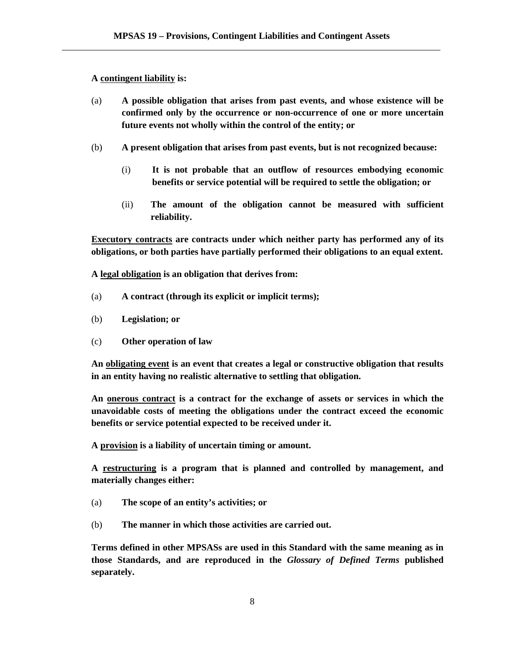#### **A contingent liability is:**

- (a) **A possible obligation that arises from past events, and whose existence will be confirmed only by the occurrence or non-occurrence of one or more uncertain future events not wholly within the control of the entity; or**
- (b) **A present obligation that arises from past events, but is not recognized because:**
	- (i) **It is not probable that an outflow of resources embodying economic benefits or service potential will be required to settle the obligation; or**
	- (ii) **The amount of the obligation cannot be measured with sufficient reliability.**

**Executory contracts are contracts under which neither party has performed any of its obligations, or both parties have partially performed their obligations to an equal extent.**

**A legal obligation is an obligation that derives from:**

- (a) **A contract (through its explicit or implicit terms);**
- (b) **Legislation; or**
- (c) **Other operation of law**

**An obligating event is an event that creates a legal or constructive obligation that results in an entity having no realistic alternative to settling that obligation.**

**An onerous contract is a contract for the exchange of assets or services in which the unavoidable costs of meeting the obligations under the contract exceed the economic benefits or service potential expected to be received under it.**

**A provision is a liability of uncertain timing or amount.**

**A restructuring is a program that is planned and controlled by management, and materially changes either:**

- (a) **The scope of an entity's activities; or**
- (b) **The manner in which those activities are carried out.**

**Terms defined in other MPSASs are used in this Standard with the same meaning as in those Standards, and are reproduced in the** *Glossary of Defined Terms* **published separately.**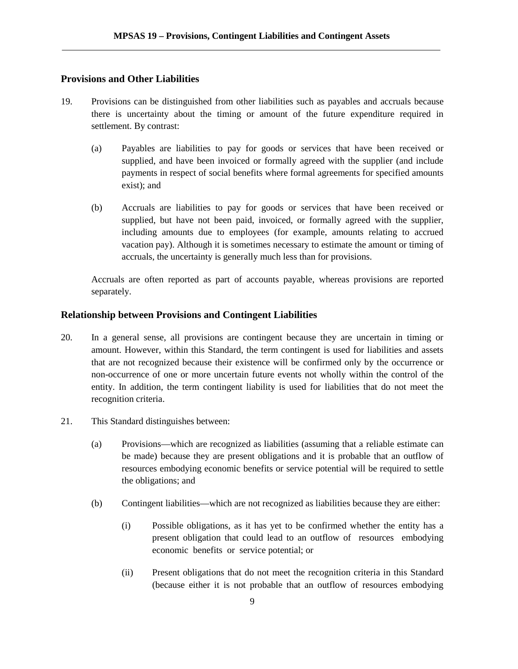## **Provisions and Other Liabilities**

- 19. Provisions can be distinguished from other liabilities such as payables and accruals because there is uncertainty about the timing or amount of the future expenditure required in settlement. By contrast:
	- (a) Payables are liabilities to pay for goods or services that have been received or supplied, and have been invoiced or formally agreed with the supplier (and include payments in respect of social benefits where formal agreements for specified amounts exist); and
	- (b) Accruals are liabilities to pay for goods or services that have been received or supplied, but have not been paid, invoiced, or formally agreed with the supplier, including amounts due to employees (for example, amounts relating to accrued vacation pay). Although it is sometimes necessary to estimate the amount or timing of accruals, the uncertainty is generally much less than for provisions.

Accruals are often reported as part of accounts payable, whereas provisions are reported separately.

#### **Relationship between Provisions and Contingent Liabilities**

- 20. In a general sense, all provisions are contingent because they are uncertain in timing or amount. However, within this Standard, the term contingent is used for liabilities and assets that are not recognized because their existence will be confirmed only by the occurrence or non-occurrence of one or more uncertain future events not wholly within the control of the entity. In addition, the term contingent liability is used for liabilities that do not meet the recognition criteria.
- 21. This Standard distinguishes between:
	- (a) Provisions―which are recognized as liabilities (assuming that a reliable estimate can be made) because they are present obligations and it is probable that an outflow of resources embodying economic benefits or service potential will be required to settle the obligations; and
	- (b) Contingent liabilities which are not recognized as liabilities because they are either:
		- (i) Possible obligations, as it has yet to be confirmed whether the entity has a present obligation that could lead to an outflow of resources embodying economic benefits or service potential; or
		- (ii) Present obligations that do not meet the recognition criteria in this Standard (because either it is not probable that an outflow of resources embodying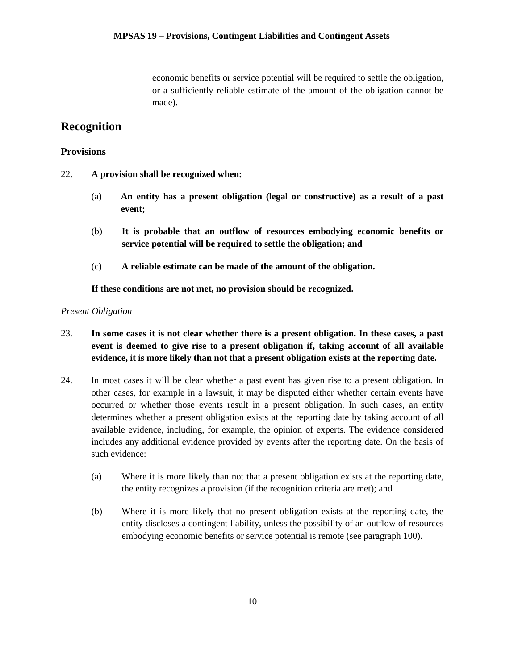economic benefits or service potential will be required to settle the obligation, or a sufficiently reliable estimate of the amount of the obligation cannot be made).

## **Recognition**

## **Provisions**

- 22. **A provision shall be recognized when:**
	- (a) **An entity has a present obligation (legal or constructive) as a result of a past event;**
	- (b) **It is probable that an outflow of resources embodying economic benefits or service potential will be required to settle the obligation; and**
	- (c) **A reliable estimate can be made of the amount of the obligation.**

**If these conditions are not met, no provision should be recognized.**

## *Present Obligation*

- 23. **In some cases it is not clear whether there is a present obligation. In these cases, a past event is deemed to give rise to a present obligation if, taking account of all available evidence, it is more likely than not that a present obligation exists at the reporting date.**
- 24. In most cases it will be clear whether a past event has given rise to a present obligation. In other cases, for example in a lawsuit, it may be disputed either whether certain events have occurred or whether those events result in a present obligation. In such cases, an entity determines whether a present obligation exists at the reporting date by taking account of all available evidence, including, for example, the opinion of experts. The evidence considered includes any additional evidence provided by events after the reporting date. On the basis of such evidence:
	- (a) Where it is more likely than not that a present obligation exists at the reporting date, the entity recognizes a provision (if the recognition criteria are met); and
	- (b) Where it is more likely that no present obligation exists at the reporting date, the entity discloses a contingent liability, unless the possibility of an outflow of resources embodying economic benefits or service potential is remote (see paragraph 100).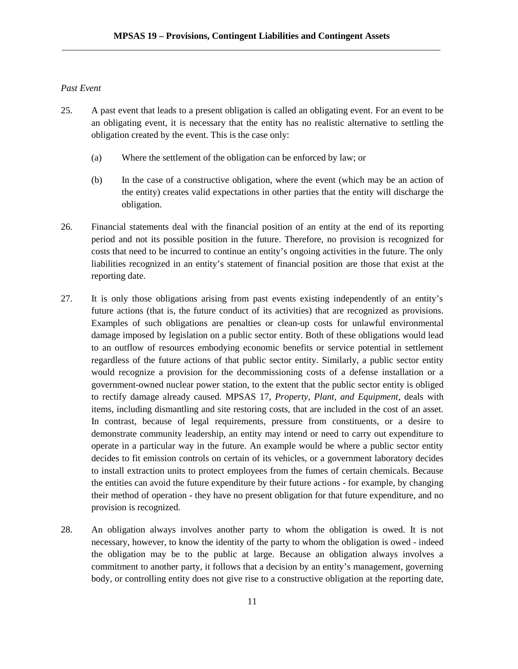## *Past Event*

- 25. A past event that leads to a present obligation is called an obligating event. For an event to be an obligating event, it is necessary that the entity has no realistic alternative to settling the obligation created by the event. This is the case only:
	- (a) Where the settlement of the obligation can be enforced by law; or
	- (b) In the case of a constructive obligation, where the event (which may be an action of the entity) creates valid expectations in other parties that the entity will discharge the obligation.
- 26. Financial statements deal with the financial position of an entity at the end of its reporting period and not its possible position in the future. Therefore, no provision is recognized for costs that need to be incurred to continue an entity's ongoing activities in the future. The only liabilities recognized in an entity's statement of financial position are those that exist at the reporting date.
- 27. It is only those obligations arising from past events existing independently of an entity's future actions (that is, the future conduct of its activities) that are recognized as provisions. Examples of such obligations are penalties or clean-up costs for unlawful environmental damage imposed by legislation on a public sector entity. Both of these obligations would lead to an outflow of resources embodying economic benefits or service potential in settlement regardless of the future actions of that public sector entity. Similarly, a public sector entity would recognize a provision for the decommissioning costs of a defense installation or a government-owned nuclear power station, to the extent that the public sector entity is obliged to rectify damage already caused. MPSAS 17, *Property, Plant, and Equipment*, deals with items, including dismantling and site restoring costs, that are included in the cost of an asset. In contrast, because of legal requirements, pressure from constituents, or a desire to demonstrate community leadership, an entity may intend or need to carry out expenditure to operate in a particular way in the future. An example would be where a public sector entity decides to fit emission controls on certain of its vehicles, or a government laboratory decides to install extraction units to protect employees from the fumes of certain chemicals. Because the entities can avoid the future expenditure by their future actions - for example, by changing their method of operation - they have no present obligation for that future expenditure, and no provision is recognized.
- 28. An obligation always involves another party to whom the obligation is owed. It is not necessary, however, to know the identity of the party to whom the obligation is owed - indeed the obligation may be to the public at large. Because an obligation always involves a commitment to another party, it follows that a decision by an entity's management, governing body, or controlling entity does not give rise to a constructive obligation at the reporting date,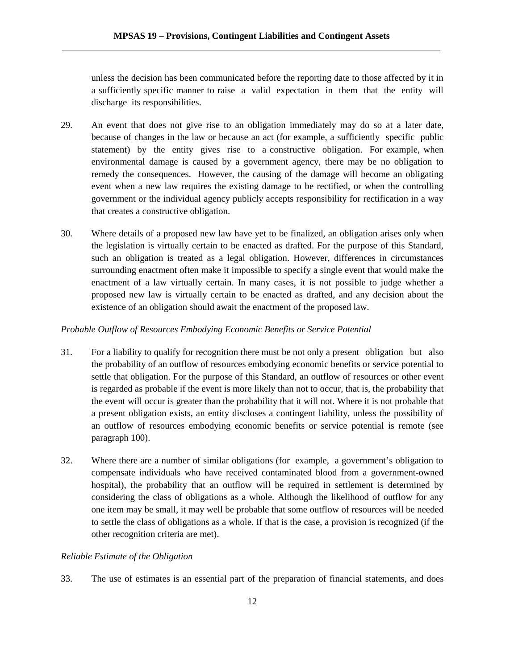unless the decision has been communicated before the reporting date to those affected by it in a sufficiently specific manner to raise a valid expectation in them that the entity will discharge its responsibilities.

- 29. An event that does not give rise to an obligation immediately may do so at a later date, because of changes in the law or because an act (for example, a sufficiently specific public statement) by the entity gives rise to a constructive obligation. For example, when environmental damage is caused by a government agency, there may be no obligation to remedy the consequences. However, the causing of the damage will become an obligating event when a new law requires the existing damage to be rectified, or when the controlling government or the individual agency publicly accepts responsibility for rectification in a way that creates a constructive obligation.
- 30. Where details of a proposed new law have yet to be finalized, an obligation arises only when the legislation is virtually certain to be enacted as drafted. For the purpose of this Standard, such an obligation is treated as a legal obligation. However, differences in circumstances surrounding enactment often make it impossible to specify a single event that would make the enactment of a law virtually certain. In many cases, it is not possible to judge whether a proposed new law is virtually certain to be enacted as drafted, and any decision about the existence of an obligation should await the enactment of the proposed law.

## *Probable Outflow of Resources Embodying Economic Benefits or Service Potential*

- 31. For a liability to qualify for recognition there must be not only a present obligation but also the probability of an outflow of resources embodying economic benefits or service potential to settle that obligation. For the purpose of this Standard, an outflow of resources or other event is regarded as probable if the event is more likely than not to occur, that is, the probability that the event will occur is greater than the probability that it will not. Where it is not probable that a present obligation exists, an entity discloses a contingent liability, unless the possibility of an outflow of resources embodying economic benefits or service potential is remote (see paragraph 100).
- 32. Where there are a number of similar obligations (for example, a government's obligation to compensate individuals who have received contaminated blood from a government-owned hospital), the probability that an outflow will be required in settlement is determined by considering the class of obligations as a whole. Although the likelihood of outflow for any one item may be small, it may well be probable that some outflow of resources will be needed to settle the class of obligations as a whole. If that is the case, a provision is recognized (if the other recognition criteria are met).

## *Reliable Estimate of the Obligation*

33. The use of estimates is an essential part of the preparation of financial statements, and does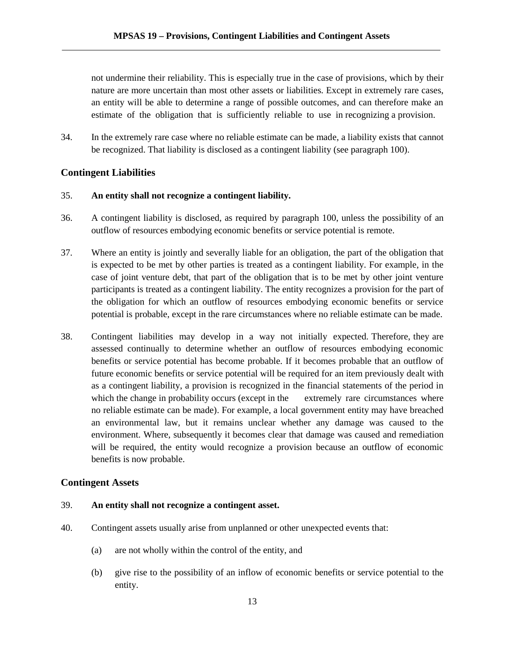not undermine their reliability. This is especially true in the case of provisions, which by their nature are more uncertain than most other assets or liabilities. Except in extremely rare cases, an entity will be able to determine a range of possible outcomes, and can therefore make an estimate of the obligation that is sufficiently reliable to use in recognizing a provision.

34. In the extremely rare case where no reliable estimate can be made, a liability exists that cannot be recognized. That liability is disclosed as a contingent liability (see paragraph 100).

## **Contingent Liabilities**

### 35. **An entity shall not recognize a contingent liability.**

- 36. A contingent liability is disclosed, as required by paragraph 100, unless the possibility of an outflow of resources embodying economic benefits or service potential is remote.
- 37. Where an entity is jointly and severally liable for an obligation, the part of the obligation that is expected to be met by other parties is treated as a contingent liability. For example, in the case of joint venture debt, that part of the obligation that is to be met by other joint venture participants is treated as a contingent liability. The entity recognizes a provision for the part of the obligation for which an outflow of resources embodying economic benefits or service potential is probable, except in the rare circumstances where no reliable estimate can be made.
- 38. Contingent liabilities may develop in a way not initially expected. Therefore, they are assessed continually to determine whether an outflow of resources embodying economic benefits or service potential has become probable. If it becomes probable that an outflow of future economic benefits or service potential will be required for an item previously dealt with as a contingent liability, a provision is recognized in the financial statements of the period in which the change in probability occurs (except in the extremely rare circumstances where no reliable estimate can be made). For example, a local government entity may have breached an environmental law, but it remains unclear whether any damage was caused to the environment. Where, subsequently it becomes clear that damage was caused and remediation will be required, the entity would recognize a provision because an outflow of economic benefits is now probable.

#### **Contingent Assets**

#### 39. **An entity shall not recognize a contingent asset.**

- 40. Contingent assets usually arise from unplanned or other unexpected events that:
	- (a) are not wholly within the control of the entity, and
	- (b) give rise to the possibility of an inflow of economic benefits or service potential to the entity.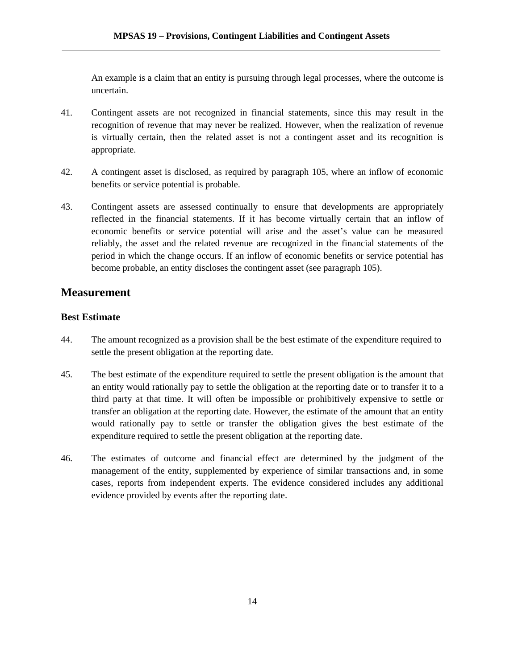An example is a claim that an entity is pursuing through legal processes, where the outcome is uncertain.

- 41. Contingent assets are not recognized in financial statements, since this may result in the recognition of revenue that may never be realized. However, when the realization of revenue is virtually certain, then the related asset is not a contingent asset and its recognition is appropriate.
- 42. A contingent asset is disclosed, as required by paragraph 105, where an inflow of economic benefits or service potential is probable.
- 43. Contingent assets are assessed continually to ensure that developments are appropriately reflected in the financial statements. If it has become virtually certain that an inflow of economic benefits or service potential will arise and the asset's value can be measured reliably, the asset and the related revenue are recognized in the financial statements of the period in which the change occurs. If an inflow of economic benefits or service potential has become probable, an entity discloses the contingent asset (see paragraph 105).

## **Measurement**

## **Best Estimate**

- 44. The amount recognized as a provision shall be the best estimate of the expenditure required to settle the present obligation at the reporting date.
- 45. The best estimate of the expenditure required to settle the present obligation is the amount that an entity would rationally pay to settle the obligation at the reporting date or to transfer it to a third party at that time. It will often be impossible or prohibitively expensive to settle or transfer an obligation at the reporting date. However, the estimate of the amount that an entity would rationally pay to settle or transfer the obligation gives the best estimate of the expenditure required to settle the present obligation at the reporting date.
- 46. The estimates of outcome and financial effect are determined by the judgment of the management of the entity, supplemented by experience of similar transactions and, in some cases, reports from independent experts. The evidence considered includes any additional evidence provided by events after the reporting date.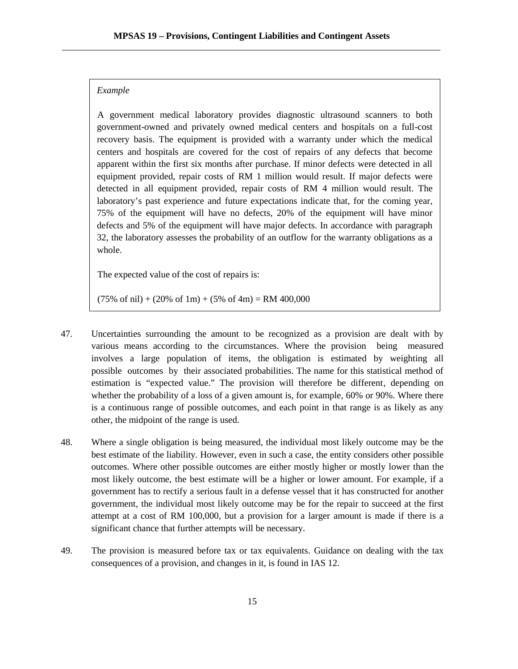#### *Example*

A government medical laboratory provides diagnostic ultrasound scanners to both government-owned and privately owned medical centers and hospitals on a full-cost recovery basis. The equipment is provided with a warranty under which the medical centers and hospitals are covered for the cost of repairs of any defects that become apparent within the first six months after purchase. If minor defects were detected in all equipment provided, repair costs of RM 1 million would result. If major defects were detected in all equipment provided, repair costs of RM 4 million would result. The laboratory's past experience and future expectations indicate that, for the coming year, 75% of the equipment will have no defects, 20% of the equipment will have minor defects and 5% of the equipment will have major defects. In accordance with paragraph 32, the laboratory assesses the probability of an outflow for the warranty obligations as a whole.

The expected value of the cost of repairs is:

 $(75\% \text{ of } \text{nil}) + (20\% \text{ of } \text{1m}) + (5\% \text{ of } \text{4m}) = \text{RM } 400,000$ 

- 47. Uncertainties surrounding the amount to be recognized as a provision are dealt with by various means according to the circumstances. Where the provision being measured involves a large population of items, the obligation is estimated by weighting all possible outcomes by their associated probabilities. The name for this statistical method of estimation is "expected value." The provision will therefore be different, depending on whether the probability of a loss of a given amount is, for example, 60% or 90%. Where there is a continuous range of possible outcomes, and each point in that range is as likely as any other, the midpoint of the range is used.
- 48. Where a single obligation is being measured, the individual most likely outcome may be the best estimate of the liability. However, even in such a case, the entity considers other possible outcomes. Where other possible outcomes are either mostly higher or mostly lower than the most likely outcome, the best estimate will be a higher or lower amount. For example, if a government has to rectify a serious fault in a defense vessel that it has constructed for another government, the individual most likely outcome may be for the repair to succeed at the first attempt at a cost of RM 100,000, but a provision for a larger amount is made if there is a significant chance that further attempts will be necessary.
- 49. The provision is measured before tax or tax equivalents. Guidance on dealing with the tax consequences of a provision, and changes in it, is found in IAS 12.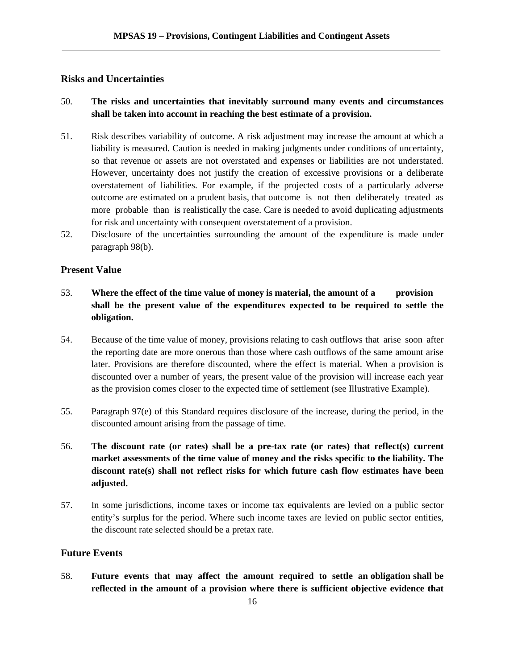## **Risks and Uncertainties**

## 50. **The risks and uncertainties that inevitably surround many events and circumstances shall be taken into account in reaching the best estimate of a provision.**

- 51. Risk describes variability of outcome. A risk adjustment may increase the amount at which a liability is measured. Caution is needed in making judgments under conditions of uncertainty, so that revenue or assets are not overstated and expenses or liabilities are not understated. However, uncertainty does not justify the creation of excessive provisions or a deliberate overstatement of liabilities. For example, if the projected costs of a particularly adverse outcome are estimated on a prudent basis, that outcome is not then deliberately treated as more probable than is realistically the case. Care is needed to avoid duplicating adjustments for risk and uncertainty with consequent overstatement of a provision.
- 52. Disclosure of the uncertainties surrounding the amount of the expenditure is made under paragraph 98(b).

### **Present Value**

- 53. **Where the effect of the time value of money is material, the amount of a provision shall be the present value of the expenditures expected to be required to settle the obligation.**
- 54. Because of the time value of money, provisions relating to cash outflows that arise soon after the reporting date are more onerous than those where cash outflows of the same amount arise later. Provisions are therefore discounted, where the effect is material. When a provision is discounted over a number of years, the present value of the provision will increase each year as the provision comes closer to the expected time of settlement (see Illustrative Example).
- 55. Paragraph 97(e) of this Standard requires disclosure of the increase, during the period, in the discounted amount arising from the passage of time.
- 56. **The discount rate (or rates) shall be a pre-tax rate (or rates) that reflect(s) current market assessments of the time value of money and the risks specific to the liability. The discount rate(s) shall not reflect risks for which future cash flow estimates have been adjusted.**
- 57. In some jurisdictions, income taxes or income tax equivalents are levied on a public sector entity's surplus for the period. Where such income taxes are levied on public sector entities, the discount rate selected should be a pretax rate.

## **Future Events**

58. **Future events that may affect the amount required to settle an obligation shall be reflected in the amount of a provision where there is sufficient objective evidence that**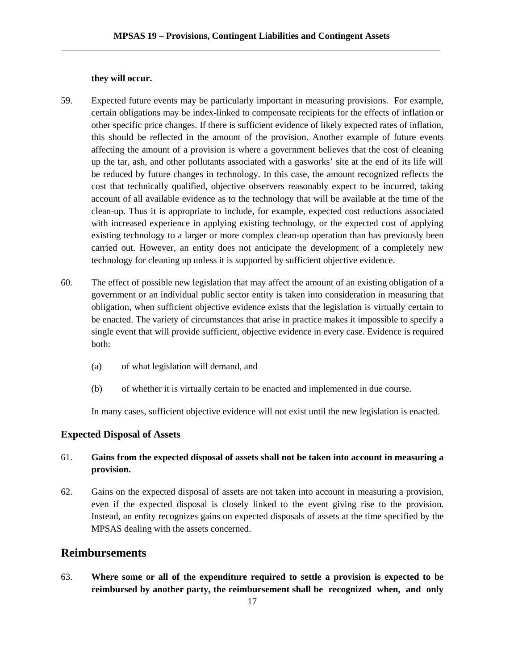#### **they will occur.**

- 59. Expected future events may be particularly important in measuring provisions. For example, certain obligations may be index-linked to compensate recipients for the effects of inflation or other specific price changes. If there is sufficient evidence of likely expected rates of inflation, this should be reflected in the amount of the provision. Another example of future events affecting the amount of a provision is where a government believes that the cost of cleaning up the tar, ash, and other pollutants associated with a gasworks' site at the end of its life will be reduced by future changes in technology. In this case, the amount recognized reflects the cost that technically qualified, objective observers reasonably expect to be incurred, taking account of all available evidence as to the technology that will be available at the time of the clean-up. Thus it is appropriate to include, for example, expected cost reductions associated with increased experience in applying existing technology, or the expected cost of applying existing technology to a larger or more complex clean-up operation than has previously been carried out. However, an entity does not anticipate the development of a completely new technology for cleaning up unless it is supported by sufficient objective evidence.
- 60. The effect of possible new legislation that may affect the amount of an existing obligation of a government or an individual public sector entity is taken into consideration in measuring that obligation, when sufficient objective evidence exists that the legislation is virtually certain to be enacted. The variety of circumstances that arise in practice makes it impossible to specify a single event that will provide sufficient, objective evidence in every case. Evidence is required both:
	- (a) of what legislation will demand, and
	- (b) of whether it is virtually certain to be enacted and implemented in due course.

In many cases, sufficient objective evidence will not exist until the new legislation is enacted.

## **Expected Disposal of Assets**

## 61. **Gains from the expected disposal of assets shall not be taken into account in measuring a provision.**

62. Gains on the expected disposal of assets are not taken into account in measuring a provision, even if the expected disposal is closely linked to the event giving rise to the provision. Instead, an entity recognizes gains on expected disposals of assets at the time specified by the MPSAS dealing with the assets concerned.

## **Reimbursements**

63. **Where some or all of the expenditure required to settle a provision is expected to be reimbursed by another party, the reimbursement shall be recognized when, and only**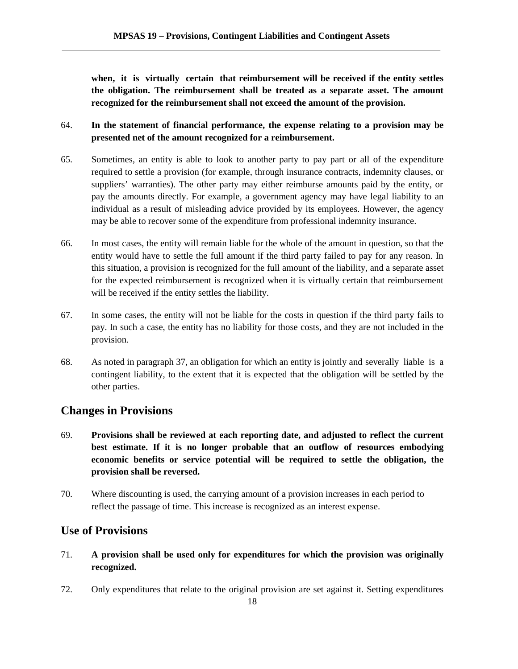**when, it is virtually certain that reimbursement will be received if the entity settles the obligation. The reimbursement shall be treated as a separate asset. The amount recognized for the reimbursement shall not exceed the amount of the provision.**

- 64. **In the statement of financial performance, the expense relating to a provision may be presented net of the amount recognized for a reimbursement.**
- 65. Sometimes, an entity is able to look to another party to pay part or all of the expenditure required to settle a provision (for example, through insurance contracts, indemnity clauses, or suppliers' warranties). The other party may either reimburse amounts paid by the entity, or pay the amounts directly. For example, a government agency may have legal liability to an individual as a result of misleading advice provided by its employees. However, the agency may be able to recover some of the expenditure from professional indemnity insurance.
- 66. In most cases, the entity will remain liable for the whole of the amount in question, so that the entity would have to settle the full amount if the third party failed to pay for any reason. In this situation, a provision is recognized for the full amount of the liability, and a separate asset for the expected reimbursement is recognized when it is virtually certain that reimbursement will be received if the entity settles the liability.
- 67. In some cases, the entity will not be liable for the costs in question if the third party fails to pay. In such a case, the entity has no liability for those costs, and they are not included in the provision.
- 68. As noted in paragraph 37, an obligation for which an entity is jointly and severally liable is a contingent liability, to the extent that it is expected that the obligation will be settled by the other parties.

## **Changes in Provisions**

- 69. **Provisions shall be reviewed at each reporting date, and adjusted to reflect the current best estimate. If it is no longer probable that an outflow of resources embodying economic benefits or service potential will be required to settle the obligation, the provision shall be reversed.**
- 70. Where discounting is used, the carrying amount of a provision increases in each period to reflect the passage of time. This increase is recognized as an interest expense.

## **Use of Provisions**

- 71. **A provision shall be used only for expenditures for which the provision was originally recognized.**
- 72. Only expenditures that relate to the original provision are set against it. Setting expenditures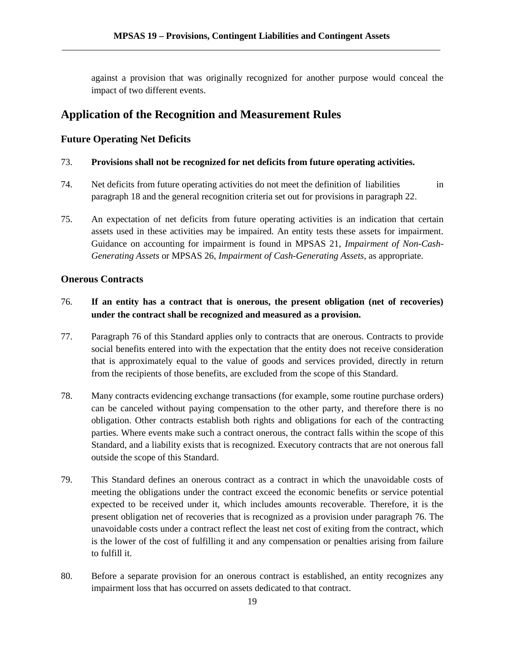against a provision that was originally recognized for another purpose would conceal the impact of two different events.

## **Application of the Recognition and Measurement Rules**

## **Future Operating Net Deficits**

### 73. **Provisions shall not be recognized for net deficits from future operating activities.**

- 74. Net deficits from future operating activities do not meet the definition of liabilities in paragraph 18 and the general recognition criteria set out for provisions in paragraph 22.
- 75. An expectation of net deficits from future operating activities is an indication that certain assets used in these activities may be impaired. An entity tests these assets for impairment. Guidance on accounting for impairment is found in MPSAS 21, *Impairment of Non-Cash- Generating Assets* or MPSAS 26, *Impairment of Cash-Generating Assets*, as appropriate.

## **Onerous Contracts**

## 76. **If an entity has a contract that is onerous, the present obligation (net of recoveries) under the contract shall be recognized and measured as a provision.**

- 77. Paragraph 76 of this Standard applies only to contracts that are onerous. Contracts to provide social benefits entered into with the expectation that the entity does not receive consideration that is approximately equal to the value of goods and services provided, directly in return from the recipients of those benefits, are excluded from the scope of this Standard.
- 78. Many contracts evidencing exchange transactions (for example, some routine purchase orders) can be canceled without paying compensation to the other party, and therefore there is no obligation. Other contracts establish both rights and obligations for each of the contracting parties. Where events make such a contract onerous, the contract falls within the scope of this Standard, and a liability exists that is recognized. Executory contracts that are not onerous fall outside the scope of this Standard.
- 79. This Standard defines an onerous contract as a contract in which the unavoidable costs of meeting the obligations under the contract exceed the economic benefits or service potential expected to be received under it, which includes amounts recoverable. Therefore, it is the present obligation net of recoveries that is recognized as a provision under paragraph 76. The unavoidable costs under a contract reflect the least net cost of exiting from the contract, which is the lower of the cost of fulfilling it and any compensation or penalties arising from failure to fulfill it.
- 80. Before a separate provision for an onerous contract is established, an entity recognizes any impairment loss that has occurred on assets dedicated to that contract.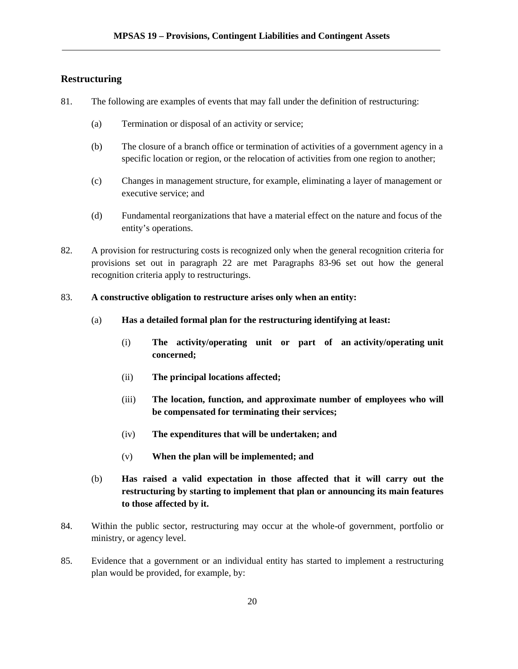## **Restructuring**

- 81. The following are examples of events that may fall under the definition of restructuring:
	- (a) Termination or disposal of an activity or service;
	- (b) The closure of a branch office or termination of activities of a government agency in a specific location or region, or the relocation of activities from one region to another;
	- (c) Changes in management structure, for example, eliminating a layer of management or executive service; and
	- (d) Fundamental reorganizations that have a material effect on the nature and focus of the entity's operations.
- 82. A provision for restructuring costs is recognized only when the general recognition criteria for provisions set out in paragraph 22 are met Paragraphs 83-96 set out how the general recognition criteria apply to restructurings.

### 83. **A constructive obligation to restructure arises only when an entity:**

- (a) **Has a detailed formal plan for the restructuring identifying at least:**
	- (i) **The activity/operating unit or part of an activity/operating unit concerned;**
	- (ii) **The principal locations affected;**
	- (iii) **The location, function, and approximate number of employees who will be compensated for terminating their services;**
	- (iv) **The expenditures that will be undertaken; and**
	- (v) **When the plan will be implemented; and**
- (b) **Has raised a valid expectation in those affected that it will carry out the restructuring by starting to implement that plan or announcing its main features to those affected by it.**
- 84. Within the public sector, restructuring may occur at the whole-of government, portfolio or ministry, or agency level.
- 85. Evidence that a government or an individual entity has started to implement a restructuring plan would be provided, for example, by: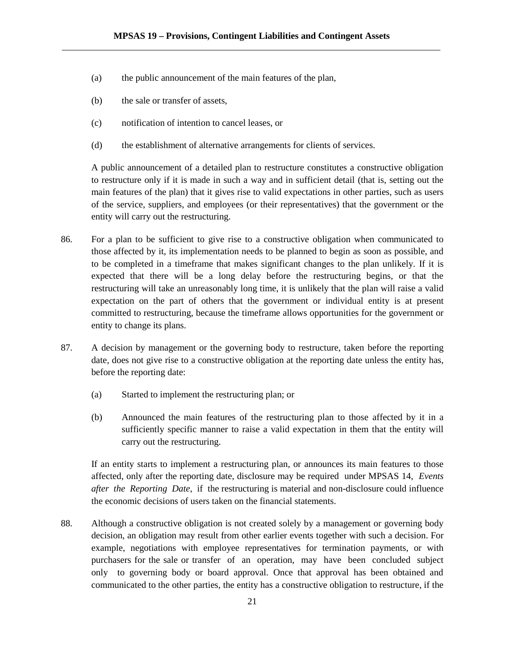- (a) the public announcement of the main features of the plan,
- (b) the sale or transfer of assets,
- (c) notification of intention to cancel leases, or
- (d) the establishment of alternative arrangements for clients of services.

A public announcement of a detailed plan to restructure constitutes a constructive obligation to restructure only if it is made in such a way and in sufficient detail (that is, setting out the main features of the plan) that it gives rise to valid expectations in other parties, such as users of the service, suppliers, and employees (or their representatives) that the government or the entity will carry out the restructuring.

- 86. For a plan to be sufficient to give rise to a constructive obligation when communicated to those affected by it, its implementation needs to be planned to begin as soon as possible, and to be completed in a timeframe that makes significant changes to the plan unlikely. If it is expected that there will be a long delay before the restructuring begins, or that the restructuring will take an unreasonably long time, it is unlikely that the plan will raise a valid expectation on the part of others that the government or individual entity is at present committed to restructuring, because the timeframe allows opportunities for the government or entity to change its plans.
- 87. A decision by management or the governing body to restructure, taken before the reporting date, does not give rise to a constructive obligation at the reporting date unless the entity has, before the reporting date:
	- (a) Started to implement the restructuring plan; or
	- (b) Announced the main features of the restructuring plan to those affected by it in a sufficiently specific manner to raise a valid expectation in them that the entity will carry out the restructuring.

If an entity starts to implement a restructuring plan, or announces its main features to those affected, only after the reporting date, disclosure may be required under MPSAS 14, *Events after the Reporting Date*, if the restructuring is material and non-disclosure could influence the economic decisions of users taken on the financial statements.

88. Although a constructive obligation is not created solely by a management or governing body decision, an obligation may result from other earlier events together with such a decision. For example, negotiations with employee representatives for termination payments, or with purchasers for the sale or transfer of an operation, may have been concluded subject only to governing body or board approval. Once that approval has been obtained and communicated to the other parties, the entity has a constructive obligation to restructure, if the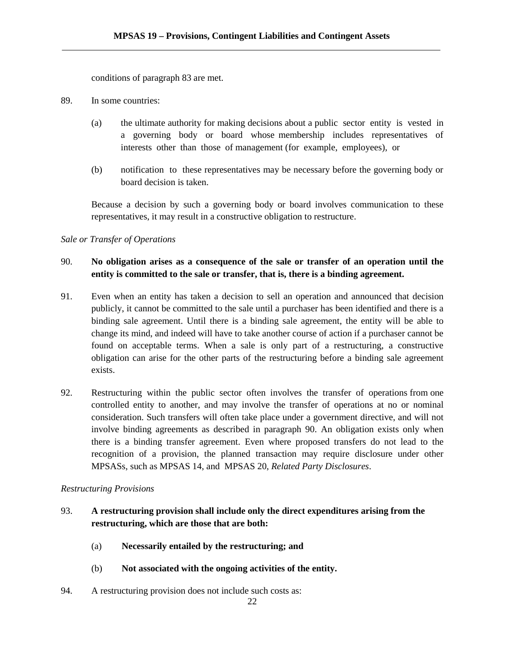conditions of paragraph 83 are met.

- 89. In some countries:
	- (a) the ultimate authority for making decisions about a public sector entity is vested in a governing body or board whose membership includes representatives of interests other than those of management (for example, employees), or
	- (b) notification to these representatives may be necessary before the governing body or board decision is taken.

Because a decision by such a governing body or board involves communication to these representatives, it may result in a constructive obligation to restructure.

## *Sale or Transfer of Operations*

## 90. **No obligation arises as a consequence of the sale or transfer of an operation until the entity is committed to the sale or transfer, that is, there is a binding agreement.**

- 91. Even when an entity has taken a decision to sell an operation and announced that decision publicly, it cannot be committed to the sale until a purchaser has been identified and there is a binding sale agreement. Until there is a binding sale agreement, the entity will be able to change its mind, and indeed will have to take another course of action if a purchaser cannot be found on acceptable terms. When a sale is only part of a restructuring, a constructive obligation can arise for the other parts of the restructuring before a binding sale agreement exists.
- 92. Restructuring within the public sector often involves the transfer of operations from one controlled entity to another, and may involve the transfer of operations at no or nominal consideration. Such transfers will often take place under a government directive, and will not involve binding agreements as described in paragraph 90. An obligation exists only when there is a binding transfer agreement. Even where proposed transfers do not lead to the recognition of a provision, the planned transaction may require disclosure under other MPSASs, such as MPSAS 14, and MPSAS 20, *Related Party Disclosures*.

## *Restructuring Provisions*

## 93. **A restructuring provision shall include only the direct expenditures arising from the restructuring, which are those that are both:**

- (a) **Necessarily entailed by the restructuring; and**
- (b) **Not associated with the ongoing activities of the entity.**
- 94. A restructuring provision does not include such costs as: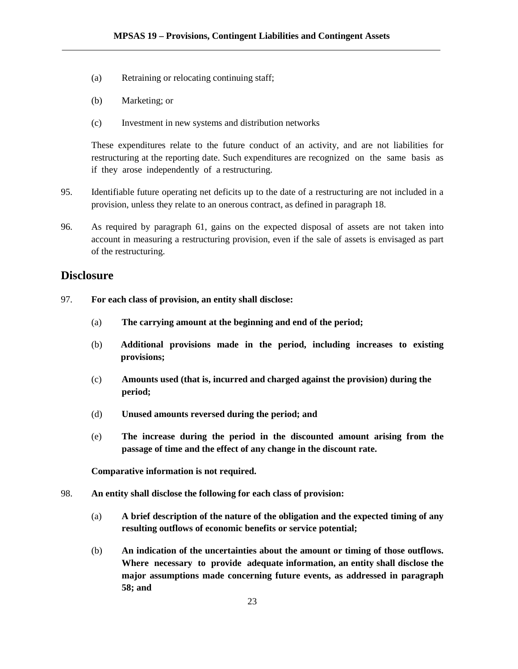- (a) Retraining or relocating continuing staff;
- (b) Marketing; or
- (c) Investment in new systems and distribution networks

These expenditures relate to the future conduct of an activity, and are not liabilities for restructuring at the reporting date. Such expenditures are recognized on the same basis as if they arose independently of a restructuring.

- 95. Identifiable future operating net deficits up to the date of a restructuring are not included in a provision, unless they relate to an onerous contract, as defined in paragraph 18.
- 96. As required by paragraph 61, gains on the expected disposal of assets are not taken into account in measuring a restructuring provision, even if the sale of assets is envisaged as part of the restructuring.

## **Disclosure**

- 97. **For each class of provision, an entity shall disclose:**
	- (a) **The carrying amount at the beginning and end of the period;**
	- (b) **Additional provisions made in the period, including increases to existing provisions;**
	- (c) **Amounts used (that is, incurred and charged against the provision) during the period;**
	- (d) **Unused amounts reversed during the period; and**
	- (e) **The increase during the period in the discounted amount arising from the passage of time and the effect of any change in the discount rate.**

**Comparative information is not required.**

- 98. **An entity shall disclose the following for each class of provision:**
	- (a) **A brief description of the nature of the obligation and the expected timing of any resulting outflows of economic benefits or service potential;**
	- (b) **An indication of the uncertainties about the amount or timing of those outflows. Where necessary to provide adequate information, an entity shall disclose the major assumptions made concerning future events, as addressed in paragraph 58; and**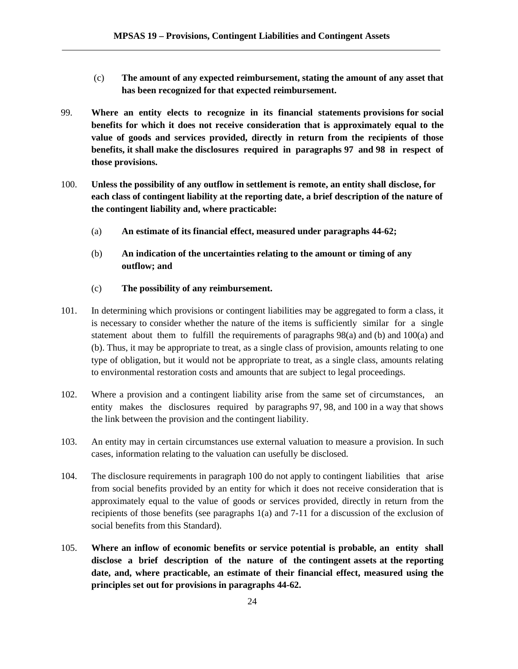- (c) **The amount of any expected reimbursement, stating the amount of any asset that has been recognized for that expected reimbursement.**
- 99. **Where an entity elects to recognize in its financial statements provisions for social benefits for which it does not receive consideration that is approximately equal to the value of goods and services provided, directly in return from the recipients of those benefits, it shall make the disclosures required in paragraphs 97 and 98 in respect of those provisions.**
- 100. **Unless the possibility of any outflow in settlement is remote, an entity shall disclose, for each class of contingent liability at the reporting date, a brief description of the nature of the contingent liability and, where practicable:**
	- (a) **An estimate of its financial effect, measured under paragraphs 44-62;**
	- (b) **An indication of the uncertainties relating to the amount or timing of any outflow; and**
	- (c) **The possibility of any reimbursement.**
- 101. In determining which provisions or contingent liabilities may be aggregated to form a class, it is necessary to consider whether the nature of the items is sufficiently similar for a single statement about them to fulfill the requirements of paragraphs 98(a) and (b) and 100(a) and (b). Thus, it may be appropriate to treat, as a single class of provision, amounts relating to one type of obligation, but it would not be appropriate to treat, as a single class, amounts relating to environmental restoration costs and amounts that are subject to legal proceedings.
- 102. Where a provision and a contingent liability arise from the same set of circumstances, an entity makes the disclosures required by paragraphs 97, 98, and 100 in a way that shows the link between the provision and the contingent liability.
- 103. An entity may in certain circumstances use external valuation to measure a provision. In such cases, information relating to the valuation can usefully be disclosed.
- 104. The disclosure requirements in paragraph 100 do not apply to contingent liabilities that arise from social benefits provided by an entity for which it does not receive consideration that is approximately equal to the value of goods or services provided, directly in return from the recipients of those benefits (see paragraphs 1(a) and 7-11 for a discussion of the exclusion of social benefits from this Standard).
- 105. **Where an inflow of economic benefits or service potential is probable, an entity shall disclose a brief description of the nature of the contingent assets at the reporting date, and, where practicable, an estimate of their financial effect, measured using the principles set out for provisions in paragraphs 44-62.**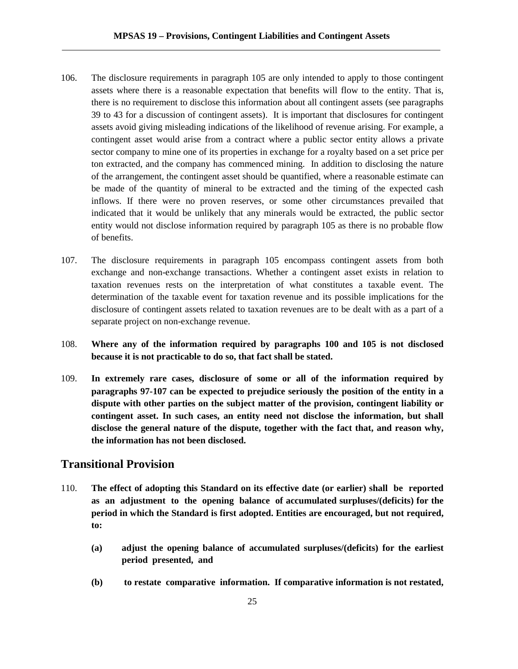- 106. The disclosure requirements in paragraph 105 are only intended to apply to those contingent assets where there is a reasonable expectation that benefits will flow to the entity. That is, there is no requirement to disclose this information about all contingent assets (see paragraphs 39 to 43 for a discussion of contingent assets). It is important that disclosures for contingent assets avoid giving misleading indications of the likelihood of revenue arising. For example, a contingent asset would arise from a contract where a public sector entity allows a private sector company to mine one of its properties in exchange for a royalty based on a set price per ton extracted, and the company has commenced mining. In addition to disclosing the nature of the arrangement, the contingent asset should be quantified, where a reasonable estimate can be made of the quantity of mineral to be extracted and the timing of the expected cash inflows. If there were no proven reserves, or some other circumstances prevailed that indicated that it would be unlikely that any minerals would be extracted, the public sector entity would not disclose information required by paragraph 105 as there is no probable flow of benefits.
- 107. The disclosure requirements in paragraph 105 encompass contingent assets from both exchange and non-exchange transactions. Whether a contingent asset exists in relation to taxation revenues rests on the interpretation of what constitutes a taxable event. The determination of the taxable event for taxation revenue and its possible implications for the disclosure of contingent assets related to taxation revenues are to be dealt with as a part of a separate project on non-exchange revenue.
- 108. **Where any of the information required by paragraphs 100 and 105 is not disclosed because it is not practicable to do so, that fact shall be stated.**
- 109. **In extremely rare cases, disclosure of some or all of the information required by paragraphs 97-107 can be expected to prejudice seriously the position of the entity in a dispute with other parties on the subject matter of the provision, contingent liability or contingent asset. In such cases, an entity need not disclose the information, but shall disclose the general nature of the dispute, together with the fact that, and reason why, the information has not been disclosed.**

## **Transitional Provision**

- 110. **The effect of adopting this Standard on its effective date (or earlier) shall be reported as an adjustment to the opening balance of accumulated surpluses/(deficits) for the period in which the Standard is first adopted. Entities are encouraged, but not required, to:**
	- **(a) adjust the opening balance of accumulated surpluses/(deficits) for the earliest period presented, and**
	- **(b) to restate comparative information. If comparative information is not restated,**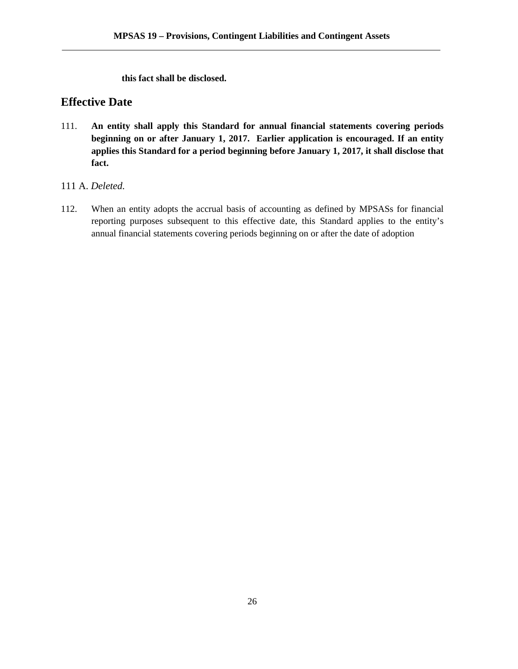**this fact shall be disclosed.**

## **Effective Date**

- 111. **An entity shall apply this Standard for annual financial statements covering periods beginning on or after January 1, 2017. Earlier application is encouraged. If an entity applies this Standard for a period beginning before January 1, 2017, it shall disclose that fact.**
- 111 A. *Deleted.*
- 112. When an entity adopts the accrual basis of accounting as defined by MPSASs for financial reporting purposes subsequent to this effective date, this Standard applies to the entity's annual financial statements covering periods beginning on or after the date of adoption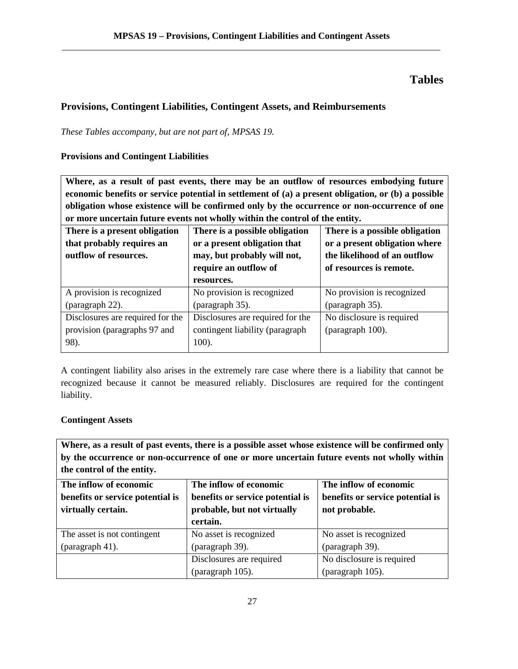## **Tables**

## **Provisions, Contingent Liabilities, Contingent Assets, and Reimbursements**

*These Tables accompany, but are not part of, MPSAS 19.*

## **Provisions and Contingent Liabilities**

**Where, as a result of past events, there may be an outflow of resources embodying future economic benefits or service potential in settlement of (a) a present obligation, or (b) a possible obligation whose existence will be confirmed only by the occurrence or non-occurrence of one or more uncertain future events not wholly within the control of the entity.**

| There is a present obligation<br>that probably requires an<br>outflow of resources. | There is a possible obligation<br>or a present obligation that<br>may, but probably will not,<br>require an outflow of<br>resources. | There is a possible obligation<br>or a present obligation where<br>the likelihood of an outflow<br>of resources is remote. |
|-------------------------------------------------------------------------------------|--------------------------------------------------------------------------------------------------------------------------------------|----------------------------------------------------------------------------------------------------------------------------|
| A provision is recognized<br>(paragraph 22).                                        | No provision is recognized<br>(paragraph 35).                                                                                        | No provision is recognized<br>(paragraph 35).                                                                              |
| Disclosures are required for the<br>provision (paragraphs 97 and<br>98).            | Disclosures are required for the<br>contingent liability (paragraph)<br>100).                                                        | No disclosure is required<br>(paragraph 100).                                                                              |

A contingent liability also arises in the extremely rare case where there is a liability that cannot be recognized because it cannot be measured reliably. Disclosures are required for the contingent liability.

## **Contingent Assets**

**Where, as a result of past events, there is a possible asset whose existence will be confirmed only by the occurrence or non-occurrence of one or more uncertain future events not wholly within the control of the entity.**

| The inflow of economic           | The inflow of economic           | The inflow of economic           |  |
|----------------------------------|----------------------------------|----------------------------------|--|
| benefits or service potential is | benefits or service potential is | benefits or service potential is |  |
| virtually certain.               | probable, but not virtually      | not probable.                    |  |
|                                  | certain.                         |                                  |  |
| The asset is not contingent      | No asset is recognized           | No asset is recognized           |  |
| (paragraph 41).                  | (paragraph 39).                  | (paragraph 39).                  |  |
|                                  | Disclosures are required         | No disclosure is required        |  |
|                                  | (paragraph 105).                 | (paragraph 105).                 |  |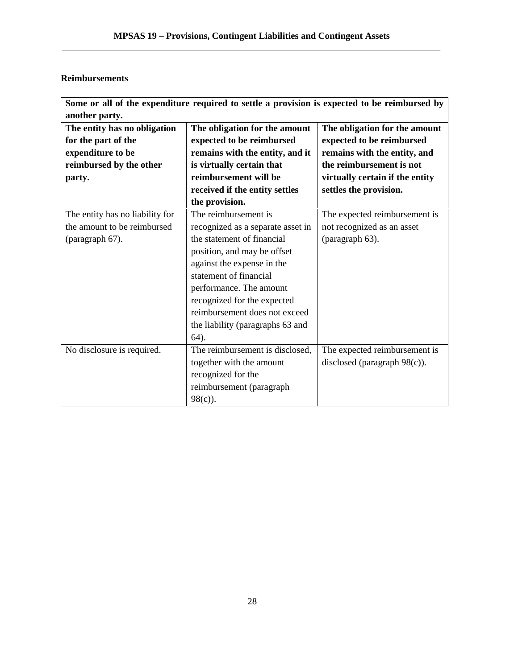## **Reimbursements**

| The entity has no obligation<br>for the part of the<br>expenditure to be | The obligation for the amount<br>expected to be reimbursed<br>remains with the entity, and it | The obligation for the amount<br>expected to be reimbursed<br>remains with the entity, and |
|--------------------------------------------------------------------------|-----------------------------------------------------------------------------------------------|--------------------------------------------------------------------------------------------|
| reimbursed by the other                                                  | is virtually certain that                                                                     | the reimbursement is not                                                                   |
| party.                                                                   | reimbursement will be                                                                         | virtually certain if the entity                                                            |
|                                                                          | received if the entity settles                                                                | settles the provision.                                                                     |
|                                                                          | the provision.                                                                                |                                                                                            |
| The entity has no liability for                                          | The reimbursement is                                                                          | The expected reimbursement is                                                              |
| the amount to be reimbursed                                              | recognized as a separate asset in                                                             | not recognized as an asset                                                                 |
| (paragraph 67).                                                          | the statement of financial                                                                    | (paragraph 63).                                                                            |
|                                                                          | position, and may be offset                                                                   |                                                                                            |
|                                                                          | against the expense in the                                                                    |                                                                                            |
|                                                                          | statement of financial                                                                        |                                                                                            |
|                                                                          | performance. The amount                                                                       |                                                                                            |
|                                                                          | recognized for the expected                                                                   |                                                                                            |
|                                                                          | reimbursement does not exceed                                                                 |                                                                                            |
|                                                                          | the liability (paragraphs 63 and                                                              |                                                                                            |
|                                                                          | $64$ ).                                                                                       |                                                                                            |
| No disclosure is required.                                               | The reimbursement is disclosed,                                                               | The expected reimbursement is                                                              |
|                                                                          | together with the amount                                                                      | disclosed (paragraph $98(c)$ ).                                                            |
|                                                                          | recognized for the                                                                            |                                                                                            |
|                                                                          | reimbursement (paragraph                                                                      |                                                                                            |
|                                                                          | $98(c)$ ).                                                                                    |                                                                                            |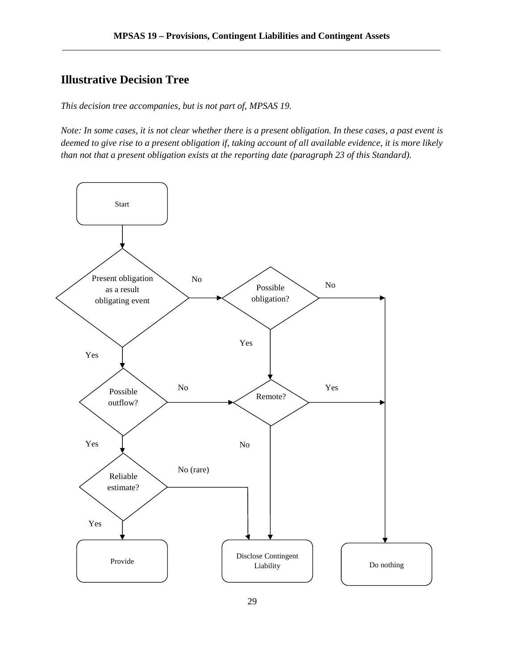## **Illustrative Decision Tree**

*This decision tree accompanies, but is not part of, MPSAS 19.*

*Note: In some cases, it is not clear whether there is a present obligation. In these cases, a past event is deemed to give rise to a present obligation if, taking account of all available evidence, it is more likely than not that a present obligation exists at the reporting date (paragraph 23 of this Standard).*

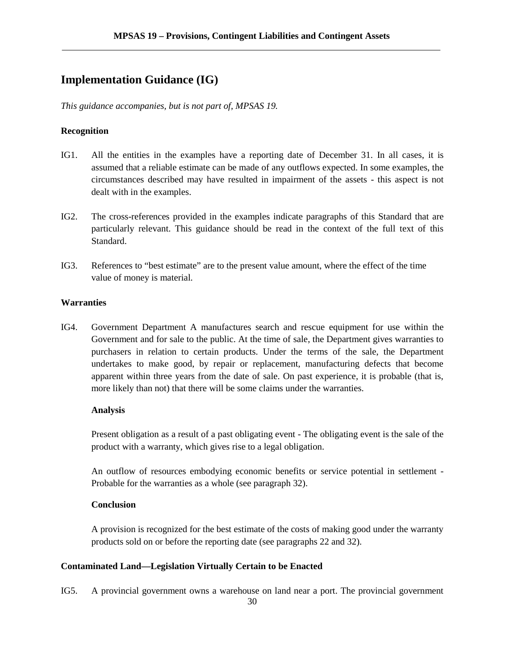## **Implementation Guidance (IG)**

*This guidance accompanies, but is not part of, MPSAS 19.*

### **Recognition**

- IG1. All the entities in the examples have a reporting date of December 31. In all cases, it is assumed that a reliable estimate can be made of any outflows expected. In some examples, the circumstances described may have resulted in impairment of the assets - this aspect is not dealt with in the examples.
- IG2. The cross-references provided in the examples indicate paragraphs of this Standard that are particularly relevant. This guidance should be read in the context of the full text of this Standard.
- IG3. References to "best estimate" are to the present value amount, where the effect of the time value of money is material.

### **Warranties**

IG4. Government Department A manufactures search and rescue equipment for use within the Government and for sale to the public. At the time of sale, the Department gives warranties to purchasers in relation to certain products. Under the terms of the sale, the Department undertakes to make good, by repair or replacement, manufacturing defects that become apparent within three years from the date of sale. On past experience, it is probable (that is, more likely than not) that there will be some claims under the warranties.

#### **Analysis**

Present obligation as a result of a past obligating event - The obligating event is the sale of the product with a warranty, which gives rise to a legal obligation.

An outflow of resources embodying economic benefits or service potential in settlement - Probable for the warranties as a whole (see paragraph 32).

#### **Conclusion**

A provision is recognized for the best estimate of the costs of making good under the warranty products sold on or before the reporting date (see paragraphs 22 and 32).

## **Contaminated Land—Legislation Virtually Certain to be Enacted**

IG5. A provincial government owns a warehouse on land near a port. The provincial government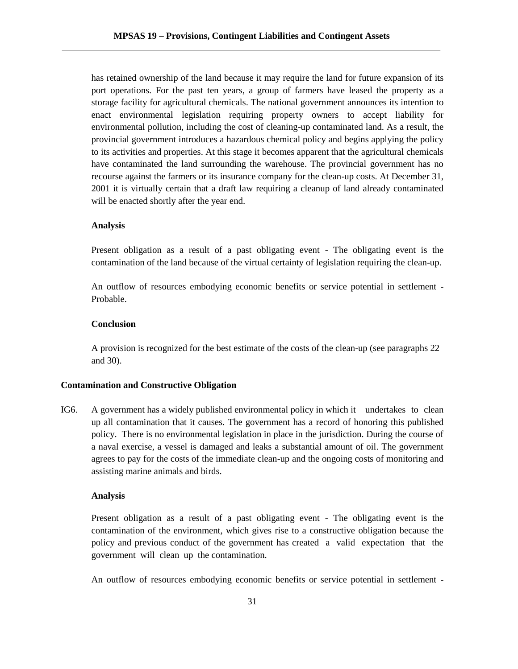has retained ownership of the land because it may require the land for future expansion of its port operations. For the past ten years, a group of farmers have leased the property as a storage facility for agricultural chemicals. The national government announces its intention to enact environmental legislation requiring property owners to accept liability for environmental pollution, including the cost of cleaning-up contaminated land. As a result, the provincial government introduces a hazardous chemical policy and begins applying the policy to its activities and properties. At this stage it becomes apparent that the agricultural chemicals have contaminated the land surrounding the warehouse. The provincial government has no recourse against the farmers or its insurance company for the clean-up costs. At December 31, 2001 it is virtually certain that a draft law requiring a cleanup of land already contaminated will be enacted shortly after the year end.

#### **Analysis**

Present obligation as a result of a past obligating event - The obligating event is the contamination of the land because of the virtual certainty of legislation requiring the clean-up.

An outflow of resources embodying economic benefits or service potential in settlement - Probable.

#### **Conclusion**

A provision is recognized for the best estimate of the costs of the clean-up (see paragraphs 22 and 30).

### **Contamination and Constructive Obligation**

IG6. A government has a widely published environmental policy in which it undertakes to clean up all contamination that it causes. The government has a record of honoring this published policy. There is no environmental legislation in place in the jurisdiction. During the course of a naval exercise, a vessel is damaged and leaks a substantial amount of oil. The government agrees to pay for the costs of the immediate clean-up and the ongoing costs of monitoring and assisting marine animals and birds.

#### **Analysis**

Present obligation as a result of a past obligating event - The obligating event is the contamination of the environment, which gives rise to a constructive obligation because the policy and previous conduct of the government has created a valid expectation that the government will clean up the contamination.

An outflow of resources embodying economic benefits or service potential in settlement -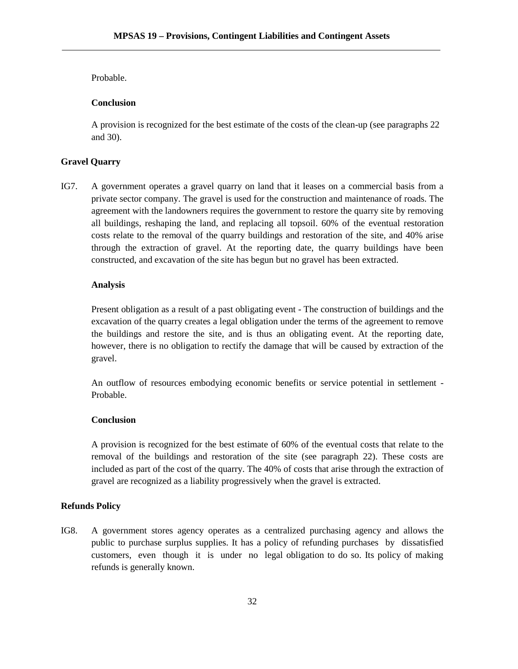#### Probable.

### **Conclusion**

A provision is recognized for the best estimate of the costs of the clean-up (see paragraphs 22 and 30).

#### **Gravel Quarry**

IG7. A government operates a gravel quarry on land that it leases on a commercial basis from a private sector company. The gravel is used for the construction and maintenance of roads. The agreement with the landowners requires the government to restore the quarry site by removing all buildings, reshaping the land, and replacing all topsoil. 60% of the eventual restoration costs relate to the removal of the quarry buildings and restoration of the site, and 40% arise through the extraction of gravel. At the reporting date, the quarry buildings have been constructed, and excavation of the site has begun but no gravel has been extracted.

#### **Analysis**

Present obligation as a result of a past obligating event - The construction of buildings and the excavation of the quarry creates a legal obligation under the terms of the agreement to remove the buildings and restore the site, and is thus an obligating event. At the reporting date, however, there is no obligation to rectify the damage that will be caused by extraction of the gravel.

An outflow of resources embodying economic benefits or service potential in settlement - Probable.

## **Conclusion**

A provision is recognized for the best estimate of 60% of the eventual costs that relate to the removal of the buildings and restoration of the site (see paragraph 22). These costs are included as part of the cost of the quarry. The 40% of costs that arise through the extraction of gravel are recognized as a liability progressively when the gravel is extracted.

### **Refunds Policy**

IG8. A government stores agency operates as a centralized purchasing agency and allows the public to purchase surplus supplies. It has a policy of refunding purchases by dissatisfied customers, even though it is under no legal obligation to do so. Its policy of making refunds is generally known.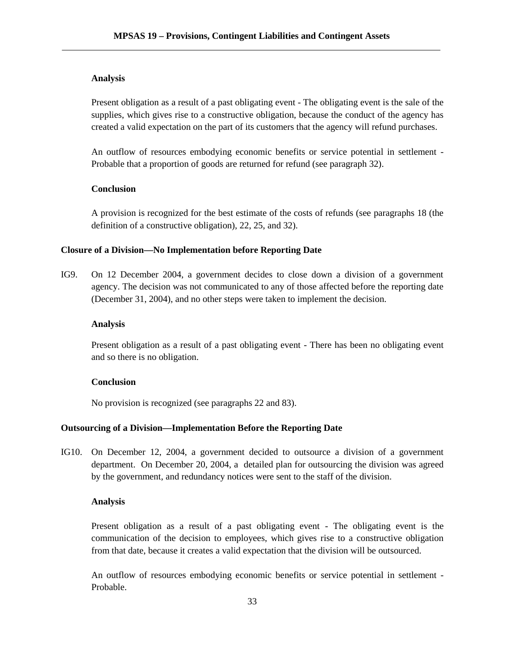#### **Analysis**

Present obligation as a result of a past obligating event - The obligating event is the sale of the supplies, which gives rise to a constructive obligation, because the conduct of the agency has created a valid expectation on the part of its customers that the agency will refund purchases.

An outflow of resources embodying economic benefits or service potential in settlement - Probable that a proportion of goods are returned for refund (see paragraph 32).

#### **Conclusion**

A provision is recognized for the best estimate of the costs of refunds (see paragraphs 18 (the definition of a constructive obligation), 22, 25, and 32).

### **Closure of a Division—No Implementation before Reporting Date**

IG9. On 12 December 2004, a government decides to close down a division of a government agency. The decision was not communicated to any of those affected before the reporting date (December 31, 2004), and no other steps were taken to implement the decision.

#### **Analysis**

Present obligation as a result of a past obligating event - There has been no obligating event and so there is no obligation.

## **Conclusion**

No provision is recognized (see paragraphs 22 and 83).

### **Outsourcing of a Division—Implementation Before the Reporting Date**

IG10. On December 12, 2004, a government decided to outsource a division of a government department. On December 20, 2004, a detailed plan for outsourcing the division was agreed by the government, and redundancy notices were sent to the staff of the division.

#### **Analysis**

Present obligation as a result of a past obligating event - The obligating event is the communication of the decision to employees, which gives rise to a constructive obligation from that date, because it creates a valid expectation that the division will be outsourced.

An outflow of resources embodying economic benefits or service potential in settlement - Probable.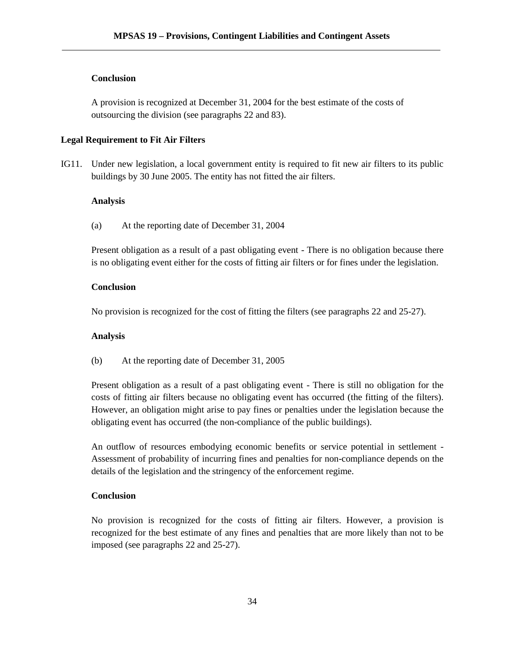#### **Conclusion**

A provision is recognized at December 31, 2004 for the best estimate of the costs of outsourcing the division (see paragraphs 22 and 83).

### **Legal Requirement to Fit Air Filters**

IG11. Under new legislation, a local government entity is required to fit new air filters to its public buildings by 30 June 2005. The entity has not fitted the air filters.

#### **Analysis**

(a) At the reporting date of December 31, 2004

Present obligation as a result of a past obligating event - There is no obligation because there is no obligating event either for the costs of fitting air filters or for fines under the legislation.

#### **Conclusion**

No provision is recognized for the cost of fitting the filters (see paragraphs 22 and 25-27).

#### **Analysis**

(b) At the reporting date of December 31, 2005

Present obligation as a result of a past obligating event - There is still no obligation for the costs of fitting air filters because no obligating event has occurred (the fitting of the filters). However, an obligation might arise to pay fines or penalties under the legislation because the obligating event has occurred (the non-compliance of the public buildings).

An outflow of resources embodying economic benefits or service potential in settlement - Assessment of probability of incurring fines and penalties for non-compliance depends on the details of the legislation and the stringency of the enforcement regime.

#### **Conclusion**

No provision is recognized for the costs of fitting air filters. However, a provision is recognized for the best estimate of any fines and penalties that are more likely than not to be imposed (see paragraphs 22 and 25-27).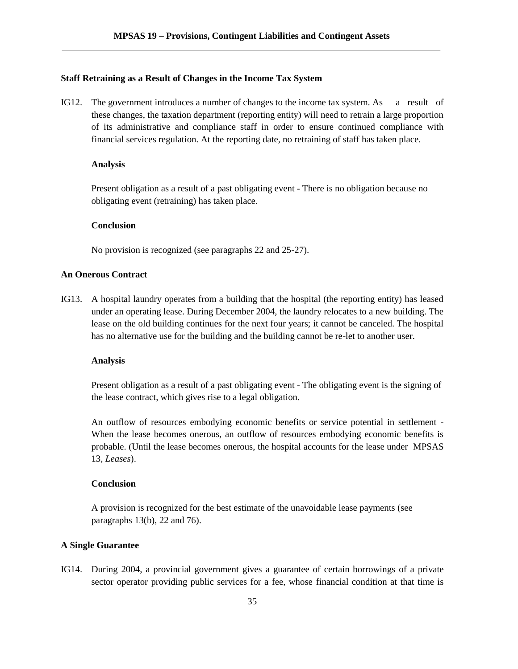#### **Staff Retraining as a Result of Changes in the Income Tax System**

IG12. The government introduces a number of changes to the income tax system. As a result of these changes, the taxation department (reporting entity) will need to retrain a large proportion of its administrative and compliance staff in order to ensure continued compliance with financial services regulation. At the reporting date, no retraining of staff has taken place.

#### **Analysis**

Present obligation as a result of a past obligating event - There is no obligation because no obligating event (retraining) has taken place.

### **Conclusion**

No provision is recognized (see paragraphs 22 and 25-27).

#### **An Onerous Contract**

IG13. A hospital laundry operates from a building that the hospital (the reporting entity) has leased under an operating lease. During December 2004, the laundry relocates to a new building. The lease on the old building continues for the next four years; it cannot be canceled. The hospital has no alternative use for the building and the building cannot be re-let to another user.

#### **Analysis**

Present obligation as a result of a past obligating event - The obligating event is the signing of the lease contract, which gives rise to a legal obligation.

An outflow of resources embodying economic benefits or service potential in settlement - When the lease becomes onerous, an outflow of resources embodying economic benefits is probable. (Until the lease becomes onerous, the hospital accounts for the lease under MPSAS 13, *Leases*).

#### **Conclusion**

A provision is recognized for the best estimate of the unavoidable lease payments (see paragraphs 13(b), 22 and 76).

### **A Single Guarantee**

IG14. During 2004, a provincial government gives a guarantee of certain borrowings of a private sector operator providing public services for a fee, whose financial condition at that time is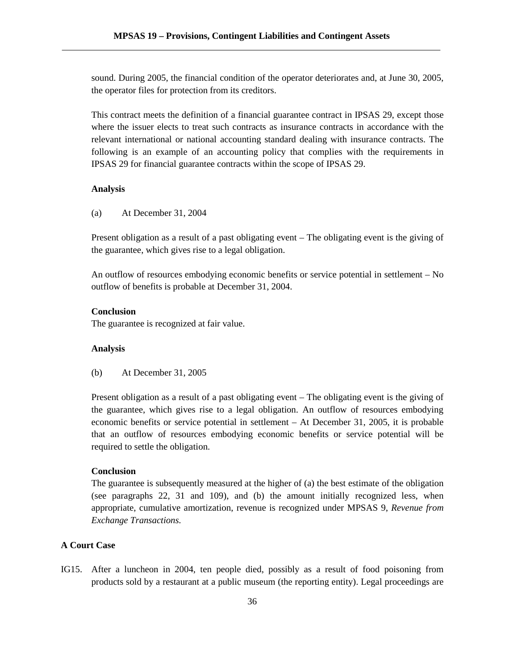sound. During 2005, the financial condition of the operator deteriorates and, at June 30, 2005, the operator files for protection from its creditors.

This contract meets the definition of a financial guarantee contract in IPSAS 29, except those where the issuer elects to treat such contracts as insurance contracts in accordance with the relevant international or national accounting standard dealing with insurance contracts. The following is an example of an accounting policy that complies with the requirements in IPSAS 29 for financial guarantee contracts within the scope of IPSAS 29.

#### **Analysis**

(a) At December 31, 2004

Present obligation as a result of a past obligating event – The obligating event is the giving of the guarantee, which gives rise to a legal obligation.

An outflow of resources embodying economic benefits or service potential in settlement – No outflow of benefits is probable at December 31, 2004.

### **Conclusion**

The guarantee is recognized at fair value.

## **Analysis**

(b) At December 31, 2005

Present obligation as a result of a past obligating event – The obligating event is the giving of the guarantee, which gives rise to a legal obligation. An outflow of resources embodying economic benefits or service potential in settlement – At December 31, 2005, it is probable that an outflow of resources embodying economic benefits or service potential will be required to settle the obligation.

## **Conclusion**

The guarantee is subsequently measured at the higher of (a) the best estimate of the obligation (see paragraphs 22, 31 and 109), and (b) the amount initially recognized less, when appropriate, cumulative amortization, revenue is recognized under MPSAS 9, *Revenue from Exchange Transactions.*

#### **A Court Case**

IG15. After a luncheon in 2004, ten people died, possibly as a result of food poisoning from products sold by a restaurant at a public museum (the reporting entity). Legal proceedings are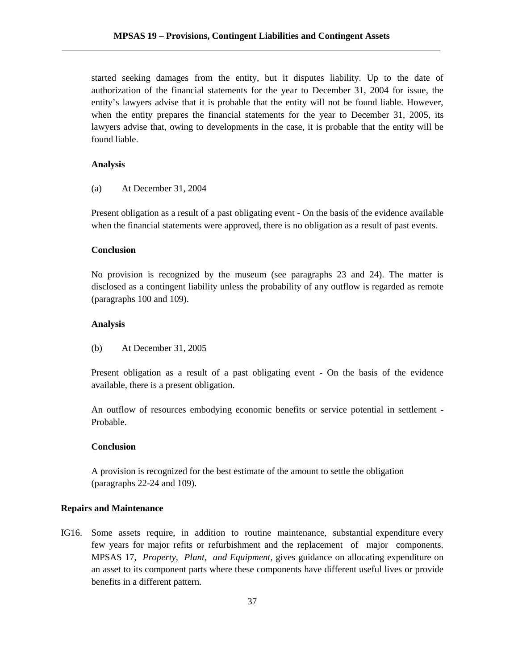started seeking damages from the entity, but it disputes liability. Up to the date of authorization of the financial statements for the year to December 31, 2004 for issue, the entity's lawyers advise that it is probable that the entity will not be found liable. However, when the entity prepares the financial statements for the year to December 31, 2005, its lawyers advise that, owing to developments in the case, it is probable that the entity will be found liable.

#### **Analysis**

(a) At December 31, 2004

Present obligation as a result of a past obligating event - On the basis of the evidence available when the financial statements were approved, there is no obligation as a result of past events.

### **Conclusion**

No provision is recognized by the museum (see paragraphs 23 and 24). The matter is disclosed as a contingent liability unless the probability of any outflow is regarded as remote (paragraphs 100 and 109).

#### **Analysis**

(b) At December 31, 2005

Present obligation as a result of a past obligating event - On the basis of the evidence available, there is a present obligation.

An outflow of resources embodying economic benefits or service potential in settlement - Probable.

### **Conclusion**

A provision is recognized for the best estimate of the amount to settle the obligation (paragraphs 22-24 and 109).

#### **Repairs and Maintenance**

IG16. Some assets require, in addition to routine maintenance, substantial expenditure every few years for major refits or refurbishment and the replacement of major components. MPSAS 17, *Property, Plant, and Equipment*, gives guidance on allocating expenditure on an asset to its component parts where these components have different useful lives or provide benefits in a different pattern.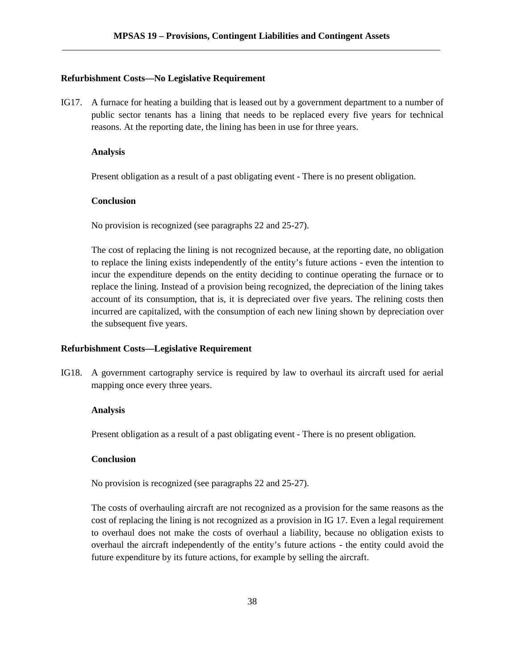#### **Refurbishment Costs—No Legislative Requirement**

IG17. A furnace for heating a building that is leased out by a government department to a number of public sector tenants has a lining that needs to be replaced every five years for technical reasons. At the reporting date, the lining has been in use for three years.

#### **Analysis**

Present obligation as a result of a past obligating event - There is no present obligation.

### **Conclusion**

No provision is recognized (see paragraphs 22 and 25-27).

The cost of replacing the lining is not recognized because, at the reporting date, no obligation to replace the lining exists independently of the entity's future actions - even the intention to incur the expenditure depends on the entity deciding to continue operating the furnace or to replace the lining. Instead of a provision being recognized, the depreciation of the lining takes account of its consumption, that is, it is depreciated over five years. The relining costs then incurred are capitalized, with the consumption of each new lining shown by depreciation over the subsequent five years.

## **Refurbishment Costs—Legislative Requirement**

IG18. A government cartography service is required by law to overhaul its aircraft used for aerial mapping once every three years.

#### **Analysis**

Present obligation as a result of a past obligating event - There is no present obligation.

### **Conclusion**

No provision is recognized (see paragraphs 22 and 25-27).

The costs of overhauling aircraft are not recognized as a provision for the same reasons as the cost of replacing the lining is not recognized as a provision in IG 17. Even a legal requirement to overhaul does not make the costs of overhaul a liability, because no obligation exists to overhaul the aircraft independently of the entity's future actions - the entity could avoid the future expenditure by its future actions, for example by selling the aircraft.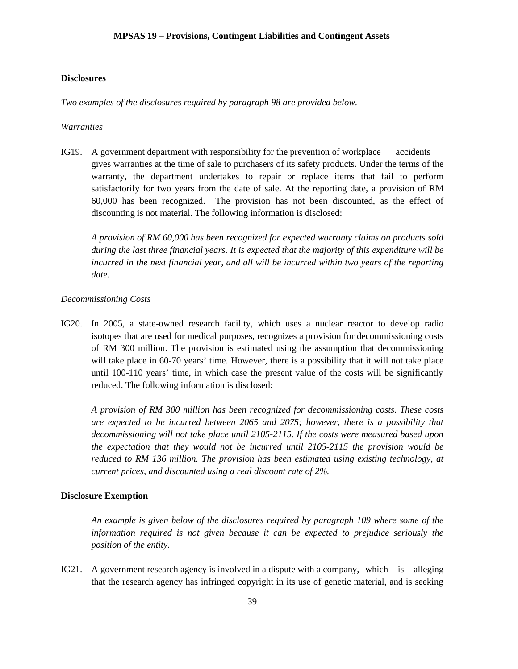#### **Disclosures**

*Two examples of the disclosures required by paragraph 98 are provided below.*

#### *Warranties*

IG19. A government department with responsibility for the prevention of workplace accidents gives warranties at the time of sale to purchasers of its safety products. Under the terms of the warranty, the department undertakes to repair or replace items that fail to perform satisfactorily for two years from the date of sale. At the reporting date, a provision of RM 60,000 has been recognized. The provision has not been discounted, as the effect of discounting is not material. The following information is disclosed:

*A provision of RM 60,000 has been recognized for expected warranty claims on products sold during the last three financial years. It is expected that the majority of this expenditure will be incurred in the next financial year, and all will be incurred within two years of the reporting date.*

#### *Decommissioning Costs*

IG20. In 2005, a state-owned research facility, which uses a nuclear reactor to develop radio isotopes that are used for medical purposes, recognizes a provision for decommissioning costs of RM 300 million. The provision is estimated using the assumption that decommissioning will take place in 60-70 years' time. However, there is a possibility that it will not take place until 100-110 years' time, in which case the present value of the costs will be significantly reduced. The following information is disclosed:

*A provision of RM 300 million has been recognized for decommissioning costs. These costs are expected to be incurred between 2065 and 2075; however, there is a possibility that decommissioning will not take place until 2105-2115. If the costs were measured based upon the expectation that they would not be incurred until 2105-2115 the provision would be reduced to RM 136 million. The provision has been estimated using existing technology, at current prices, and discounted using a real discount rate of 2%.*

#### **Disclosure Exemption**

*An example is given below of the disclosures required by paragraph 109 where some of the information required is not given because it can be expected to prejudice seriously the position of the entity.*

IG21. A government research agency is involved in a dispute with a company, which is alleging that the research agency has infringed copyright in its use of genetic material, and is seeking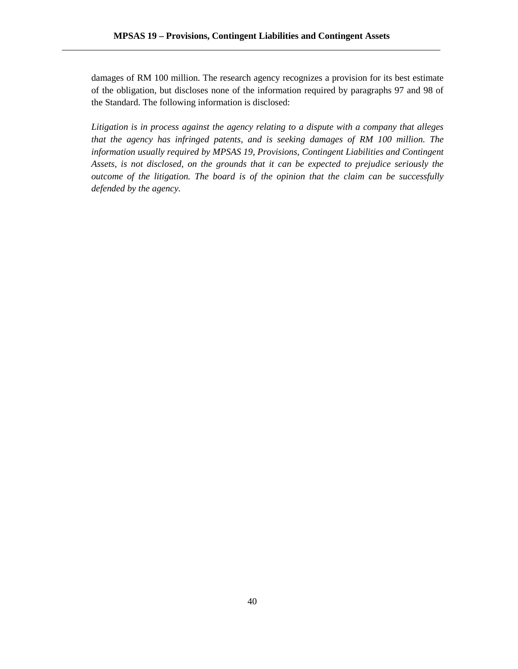damages of RM 100 million. The research agency recognizes a provision for its best estimate of the obligation, but discloses none of the information required by paragraphs 97 and 98 of the Standard. The following information is disclosed:

*Litigation is in process against the agency relating to a dispute with a company that alleges that the agency has infringed patents, and is seeking damages of RM 100 million. The information usually required by MPSAS 19, Provisions, Contingent Liabilities and Contingent Assets, is not disclosed, on the grounds that it can be expected to prejudice seriously the outcome of the litigation. The board is of the opinion that the claim can be successfully defended by the agency.*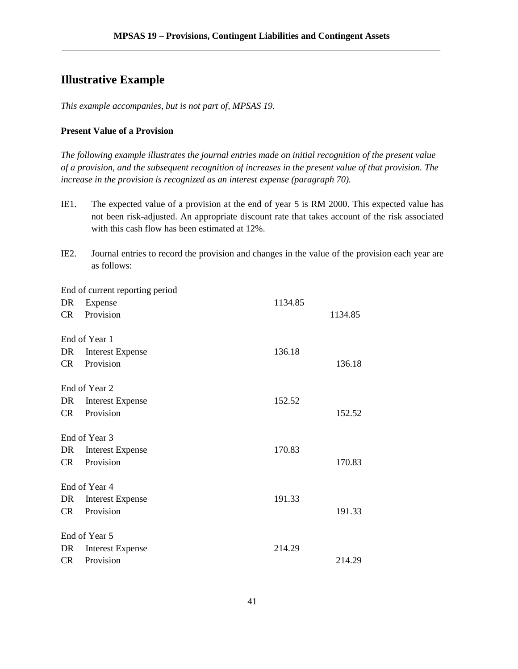## **Illustrative Example**

*This example accompanies, but is not part of, MPSAS 19.*

### **Present Value of a Provision**

*The following example illustrates the journal entries made on initial recognition of the present value of a provision, and the subsequent recognition of increases in the present value of that provision. The increase in the provision is recognized as an interest expense (paragraph 70).*

- IE1. The expected value of a provision at the end of year 5 is RM 2000. This expected value has not been risk-adjusted. An appropriate discount rate that takes account of the risk associated with this cash flow has been estimated at 12%.
- IE2. Journal entries to record the provision and changes in the value of the provision each year are as follows:

End of current reporting period DR Expense 1134.85 CR Provision 1134.85 End of Year 1 DR Interest Expense 136.18 CR Provision 136.18 End of Year 2 DR Interest Expense 152.52 CR Provision 152.52 End of Year 3 DR Interest Expense 170.83 CR Provision 170.83 End of Year 4 DR Interest Expense 191.33 CR Provision 191.33 End of Year 5 DR Interest Expense 214.29 CR Provision 214.29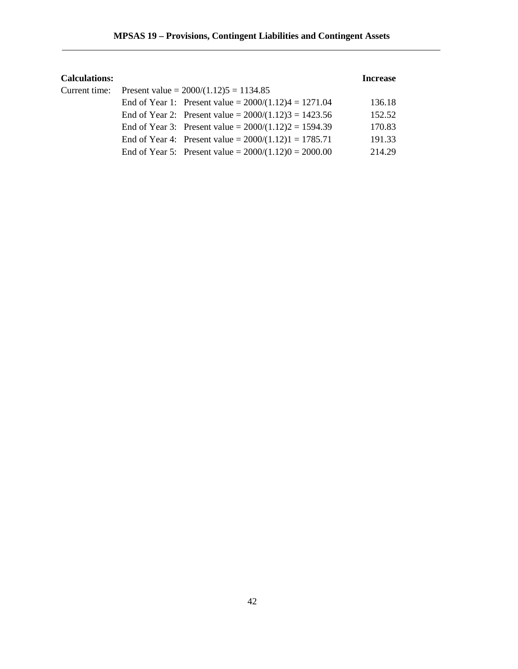| <b>Calculations:</b> |                                                         | <b>Increase</b> |  |
|----------------------|---------------------------------------------------------|-----------------|--|
| Current time:        | Present value = $2000/(1.12)5 = 1134.85$                |                 |  |
|                      | End of Year 1: Present value = $2000/(1.12)4 = 1271.04$ | 136.18          |  |
|                      | End of Year 2: Present value = $2000/(1.12)3 = 1423.56$ | 152.52          |  |
|                      | End of Year 3: Present value = $2000/(1.12)2 = 1594.39$ | 170.83          |  |
|                      | End of Year 4: Present value = $2000/(1.12)1 = 1785.71$ | 191.33          |  |
|                      | End of Year 5: Present value = $2000/(1.12)0 = 2000.00$ | 214.29          |  |